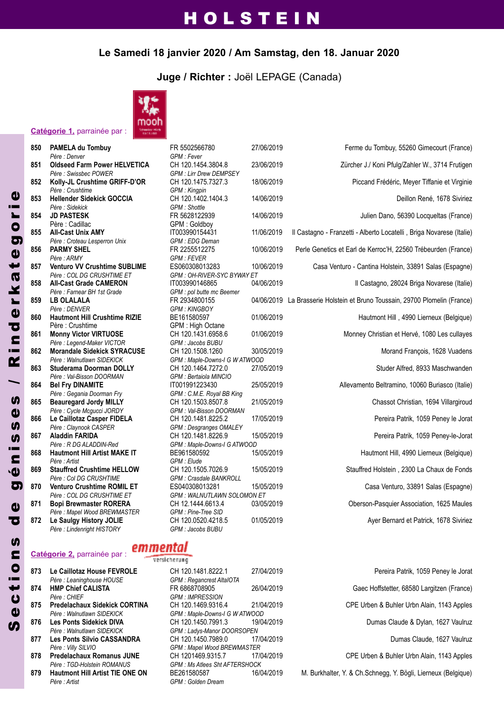#### **Le Samedi 18 janvier 2020 / Am Samstag, den 18. Januar 2020**

**Juge / Richter :** Joël LEPAGE (Canada)



|     | Catégorie 1, parrainée par :                                     |                                          |       |
|-----|------------------------------------------------------------------|------------------------------------------|-------|
| 850 | PAMELA du Tombuy                                                 | FR 5502566780                            | 27/06 |
|     | Père : Denver                                                    | GPM : Fever                              |       |
| 851 | <b>Oldseed Farm Power HELVETICA</b>                              | CH 120.1454.3804.8                       | 23/06 |
|     | Père : Swissbec POWER                                            | <b>GPM : Lirr Drew DEMPSEY</b>           |       |
| 852 | Kolly-JL Crushtime GRIFF-D'OR                                    | CH 120.1475.7327.3                       | 18/06 |
|     | Père : Crushtime<br><b>Hellender Sidekick GOCCIA</b>             | GPM: Kingpin<br>CH 120.1402.1404.3       | 14/06 |
| 853 | Père : Sidekick                                                  | <b>GPM</b> : Shottle                     |       |
| 854 | <b>JD PASTESK</b>                                                | FR 5628122939                            | 14/06 |
|     | Père : Cadillac                                                  | GPM: Goldboy                             |       |
| 855 | <b>All-Cast Unix AMY</b>                                         | IT003990154431                           | 11/06 |
|     | Père : Croteau Lesperron Unix                                    | GPM : EDG Deman                          |       |
| 856 | <b>PARMY SHEL</b>                                                | FR 2255512275                            | 10/06 |
|     | Père : ARMY                                                      | <b>GPM: FEVER</b>                        |       |
| 857 | Venturo VV Crushtime SUBLIME                                     | ES060308013283                           | 10/06 |
|     | Père : COL DG CRUSHTIME ET                                       | GPM: OH-RIVER-SYC BYWAY ET               |       |
| 858 | <b>All-Cast Grade CAMERON</b>                                    | IT003990146865                           | 04/06 |
|     | Père : Farnear BH 1st Grade                                      | GPM : pol butte mc Beemer                |       |
| 859 | <b>LB OLALALA</b>                                                | FR 2934800155                            | 04/06 |
|     | Père : DENVER                                                    | <b>GPM: KINGBOY</b>                      |       |
| 860 | <b>Hautmont Hill Crushtime RIZIE</b>                             | BE161580597                              | 01/06 |
|     | Père : Crushtime                                                 | GPM: High Octane                         |       |
| 861 | <b>Monny Victor VIRTUOSE</b>                                     | CH 120.1431.6958.6                       | 01/06 |
|     | Père : Legend-Maker VICTOR<br><b>Morandale Sidekick SYRACUSE</b> | GPM : Jacobs BUBU<br>CH 120.1508.1260    | 30/0  |
| 862 | Père : Walnutlawn SIDEKICK                                       | GPM : Maple-Downs-I G W ATWOOD           |       |
| 863 | <b>Studerama Doorman DOLLY</b>                                   | CH 120.1464.7272.0                       | 27/05 |
|     | Père: Val-Bisson DOORMAN                                         | GPM : Bertaiola MINCIO                   |       |
| 864 | <b>Bel Fry DINAMITE</b>                                          | IT001991223430                           | 25/0  |
|     | Père : Gegania Doorman Fry                                       | GPM: C.M.E. Royal BB King                |       |
| 865 | <b>Beauregard Jordy MILLY</b>                                    | CH 120.1503.8507.8                       | 21/0! |
|     | Père : Cycle Mcgucci JORDY                                       | GPM: Val-Bisson DOORMAN                  |       |
| 866 | Le Caillotaz Casper FIDELA                                       | CH 120.1481.8225.2                       | 17/05 |
|     | Père : Claynook CASPER                                           | <b>GPM</b> : Desgranges OMALEY           |       |
| 867 | <b>Aladdin FARIDA</b>                                            | CH 120.1481.8226.9                       | 15/0  |
|     | Père : R DG ALADDIN-Red                                          | GPM : Maple-Downs-I G ATWOOD             |       |
| 868 | <b>Hautmont Hill Artist MAKE IT</b>                              | BE961580592                              | 15/0  |
|     | Père : Artist                                                    | GPM : Elude                              |       |
| 869 | <b>Stauffred Crushtime HELLOW</b>                                | CH 120.1505.7026.9                       | 15/0  |
|     | Père : Col DG CRUSHTIME                                          | <b>GPM: Crasdale BANKROLL</b>            |       |
| 870 | <b>Venturo Crushtime ROMIL ET</b>                                | ES040308013281                           | 15/0  |
|     | Père : COL DG CRUSHTIME ET                                       | <b>GPM: WALNUTLAWN SOLOMON ET</b>        |       |
| 871 | <b>Bopi Brewmaster RORERA</b>                                    | CH 12.1444.6613.4<br>GPM : Pine-Tree SID | 03/05 |
| 872 | Père : Mapel Wood BREWMASTER<br>Le Saulgy History JOLIE          | CH 120.0520.4218.5                       | 01/05 |
|     | Père : Lindenright HISTORY                                       | GPM : Jacobs BUBU                        |       |
|     |                                                                  |                                          |       |

### emmental

|     |                                        | <b>VEISIS RELATIO</b>        |
|-----|----------------------------------------|------------------------------|
| 873 | Le Caillotaz House FEVROLE             | CH 120.1481.8222.            |
|     | Père : Leaninghouse HOUSE              | <b>GPM</b> : Regancrest Alta |
| 874 | <b>HMP Chief CALISTA</b>               | FR 6868708905                |
|     | Père : CHIEF                           | <b>GPM: IMPRESSION</b>       |
| 875 | <b>Predelachaux Sidekick CORTINA</b>   | CH 120.1469.9316.            |
|     | Père : Walnutlawn SIDEKICK             | GPM: Maple-Downs-I           |
| 876 | <b>Les Ponts Sidekick DIVA</b>         | CH 120.1450.7991.            |
|     | Père : Walnutlawn SIDEKICK             | GPM : Ladys-Manor D          |
| 877 | <b>Les Ponts Silvio CASSANDRA</b>      | CH 120.1450.7989.            |
|     | Père : Villy SILVIO                    | GPM: Mapel Wood Bi           |
| 878 | <b>Predelachaux Romanus JUNE</b>       | CH 1201469.9315.7            |
|     | Père : TGD-Holstein ROMANUS            | GPM : Ms Atlees Sht A        |
| 879 | <b>Hautmont Hill Artist TIE ONE ON</b> | BE261580587                  |
|     | Père : Artist                          | GPM : Golden Dream           |

**Catégorie 2,** parrainée par :

| FR 5502566780                                          | 27/06/201  |
|--------------------------------------------------------|------------|
| GPM : Fever                                            |            |
| CH 120.1454.3804.8<br>GPM : Lirr Drew DEMPSEY          | 23/06/201  |
| CH 120.1475.7327.3                                     | 18/06/201  |
| GPM : Kingpin                                          |            |
| CH 120.1402.1404.3<br>GPM: Shottle                     | 14/06/201  |
| FR 5628122939                                          | 14/06/201  |
| GPM: Goldboy                                           |            |
| T003990154431                                          | 11/06/2019 |
| GPM : EDG Deman<br>FR 2255512275                       | 10/06/201  |
| GPM : FEVER                                            |            |
| ES060308013283                                         | 10/06/201  |
| GPM : OH-RIVER-SYC BYWAY ET                            |            |
| T003990146865<br>GPM : pol butte mc Beemer             | 04/06/201  |
| FR 2934800155                                          | 04/06/201  |
| <b>GPM: KINGBOY</b>                                    |            |
| BE161580597                                            | 01/06/201  |
| GPM: High Octane                                       |            |
| CH 120.1431.6958.6<br>GPM: Jacobs BUBU                 | 01/06/201  |
| CH 120.1508.1260                                       | 30/05/201  |
| GPM : Maple-Downs-I G W ATWOOD                         |            |
| CH 120.1464.7272.0                                     | 27/05/201  |
| GPM : Bertaiola MINCIO                                 |            |
| T001991223430                                          | 25/05/201  |
| GPM: C.M.E. Royal BB King<br>CH 120.1503.8507.8        | 21/05/201  |
|                                                        |            |
| GPM : Val-Bisson DOORMAN<br>CH 120.1481.8225.2         | 17/05/201  |
| GPM : Desgranges OMALEY                                |            |
| CH 120.1481.8226.9                                     | 15/05/201  |
| GPM : Maple-Downs-I G ATWOOD<br>BE961580592            | 15/05/201  |
| GPM : Elude                                            |            |
| CH 120.1505.7026.9                                     | 15/05/201  |
| <b>GPM : Crasdale BANKROLL</b>                         |            |
| ES040308013281                                         | 15/05/201  |
| <b>GPM: WALNUTLAWN SOLOMON ET</b><br>CH 12.1444.6613.4 | 03/05/201  |
| GPM : Pine-Tree SID                                    |            |
|                                                        | 0.4105100  |

| 850 | PAMELA du Tombuy<br>Père : Denver                        | FR 5502566780                                 | 27/06/2019 | Ferme du Tombuy, 55260 Gimecourt (France)                                   |
|-----|----------------------------------------------------------|-----------------------------------------------|------------|-----------------------------------------------------------------------------|
| 851 | <b>Oldseed Farm Power HELVETICA</b>                      | GPM : Fever<br>CH 120.1454.3804.8             | 23/06/2019 | Zürcher J./ Koni Pfulg/Zahler W., 3714 Frutigen                             |
|     | Père : Swissbec POWER                                    | <b>GPM: Lirr Drew DEMPSEY</b>                 |            |                                                                             |
| 852 | Kolly-JL Crushtime GRIFF-D'OR                            | CH 120.1475.7327.3                            | 18/06/2019 | Piccand Frédéric, Meyer Tiffanie et Virginie                                |
|     | Père : Crushtime                                         | <b>GPM</b> : Kingpin                          |            |                                                                             |
| 853 | <b>Hellender Sidekick GOCCIA</b>                         | CH 120.1402.1404.3                            | 14/06/2019 | Deillon René, 1678 Siviriez                                                 |
| 854 | Père : Sidekick<br><b>JD PASTESK</b>                     | <b>GPM</b> : Shottle<br>FR 5628122939         | 14/06/2019 | Julien Dano, 56390 Locqueltas (France)                                      |
|     | Père : Cadillac                                          | GPM: Goldboy                                  |            |                                                                             |
| 855 | <b>All-Cast Unix AMY</b>                                 | IT003990154431                                | 11/06/2019 | Il Castagno - Franzetti - Alberto Locatelli, Briga Novarese (Italie)        |
|     | Père : Croteau Lesperron Unix                            | GPM: EDG Deman                                |            |                                                                             |
| 856 | <b>PARMY SHEL</b>                                        | FR 2255512275                                 | 10/06/2019 | Perle Genetics et Earl de Kerroc'H, 22560 Trébeurden (France)               |
|     | Père : ARMY                                              | <b>GPM: FEVER</b>                             |            |                                                                             |
| 857 | <b>Venturo VV Crushtime SUBLIME</b>                      | ES060308013283                                | 10/06/2019 | Casa Venturo - Cantina Holstein, 33891 Salas (Espagne)                      |
|     | Père : COL DG CRUSHTIME ET                               | GPM: OH-RIVER-SYC BYWAY ET                    |            |                                                                             |
| 858 | <b>All-Cast Grade CAMERON</b>                            | IT003990146865                                | 04/06/2019 | Il Castagno, 28024 Briga Novarese (Italie)                                  |
|     | Père : Farnear BH 1st Grade                              | GPM : pol butte mc Beemer                     |            |                                                                             |
| 859 | <b>LB OLALALA</b>                                        | FR 2934800155                                 |            | 04/06/2019 La Brasserie Holstein et Bruno Toussain, 29700 Plomelin (France) |
|     | Père : DENVER                                            | <b>GPM: KINGBOY</b>                           |            |                                                                             |
| 860 | <b>Hautmont Hill Crushtime RIZIE</b><br>Père : Crushtime | BE161580597                                   | 01/06/2019 | Hautmont Hill, 4990 Lierneux (Belgique)                                     |
| 861 | <b>Monny Victor VIRTUOSE</b>                             | GPM: High Octane<br>CH 120.1431.6958.6        | 01/06/2019 | Monney Christian et Hervé, 1080 Les cullayes                                |
|     | Père : Legend-Maker VICTOR                               | GPM: Jacobs BUBU                              |            |                                                                             |
| 862 | <b>Morandale Sidekick SYRACUSE</b>                       | CH 120.1508.1260                              | 30/05/2019 | Morand François, 1628 Vuadens                                               |
|     | Père : Walnutlawn SIDEKICK                               | GPM : Maple-Downs-I G W ATWOOD                |            |                                                                             |
| 863 | <b>Studerama Doorman DOLLY</b>                           | CH 120.1464.7272.0                            | 27/05/2019 | Studer Alfred, 8933 Maschwanden                                             |
|     | Père : Val-Bisson DOORMAN                                | GPM : Bertaiola MINCIO                        |            |                                                                             |
| 864 | <b>Bel Fry DINAMITE</b>                                  | IT001991223430                                | 25/05/2019 | Allevamento Beltramino, 10060 Buriasco (Italie)                             |
|     | Père : Gegania Doorman Fry                               | GPM: C.M.E. Royal BB King                     |            |                                                                             |
| 865 | <b>Beauregard Jordy MILLY</b>                            | CH 120.1503.8507.8                            | 21/05/2019 | Chassot Christian, 1694 Villargiroud                                        |
|     | Père : Cycle Mcgucci JORDY                               | GPM: Val-Bisson DOORMAN                       |            |                                                                             |
| 866 | Le Caillotaz Casper FIDELA                               | CH 120.1481.8225.2                            | 17/05/2019 | Pereira Patrik, 1059 Peney le Jorat                                         |
| 867 | Père : Claynook CASPER<br><b>Aladdin FARIDA</b>          | GPM : Desgranges OMALEY<br>CH 120.1481.8226.9 | 15/05/2019 | Pereira Patrik, 1059 Peney-le-Jorat                                         |
|     | Père : R DG ALADDIN-Red                                  | GPM : Maple-Downs-I G ATWOOD                  |            |                                                                             |
| 868 | <b>Hautmont Hill Artist MAKE IT</b>                      | BE961580592                                   | 15/05/2019 | Hautmont Hill, 4990 Lierneux (Belgique)                                     |
|     | Père : Artist                                            | GPM : Elude                                   |            |                                                                             |
| 869 | <b>Stauffred Crushtime HELLOW</b>                        | CH 120.1505.7026.9                            | 15/05/2019 | Stauffred Holstein, 2300 La Chaux de Fonds                                  |
|     | Père : Col DG CRUSHTIME                                  | GPM : Crasdale BANKROLL                       |            |                                                                             |
| 870 | <b>Venturo Crushtime ROMIL ET</b>                        | ES040308013281                                | 15/05/2019 | Casa Venturo, 33891 Salas (Espagne)                                         |
|     | Père : COL DG CRUSHTIME ET                               | <b>GPM: WALNUTLAWN SOLOMON ET</b>             |            |                                                                             |
| 871 | <b>Bopi Brewmaster RORERA</b>                            | CH 12.1444.6613.4                             | 03/05/2019 | Oberson-Pasquier Association, 1625 Maules                                   |
|     | Père : Mapel Wood BREWMASTER                             | GPM : Pine-Tree SID                           |            |                                                                             |
| 872 | Le Saulgy History JOLIE                                  | CH 120.0520.4218.5                            | 01/05/2019 | Ayer Bernard et Patrick, 1678 Siviriez                                      |

## versicherung

**CH 120.1481.8222.1 27/04/2019** *Père : Leaninghouse HOUSE GPM : Regancrest AltaIOTA* **FR 6868708905** 26/04/2019  $GPM$  *: IMPRESSION* **CH 120.1469.9316.4** 21/04/2019  $GPM$  *: Maple-Downs-I G W ATWOOD* **CH 120.1450.7991.3 19/04/2019**  $GPM$  *: Ladys-Manor DOORSOPEN* **CH 120.1450.7989.0 17/04/2019** *Père : Villy SILVIO GPM : Mapel Wood BREWMASTER* **CH 1201469.9315.7** *Père : TGD-Holstein ROMANUS GPM : Ms Atlees Sht AFTERSHOCK*

| Pereira Patrik, 1059 Peney le Jorat        |
|--------------------------------------------|
| Gaec Hoffstetter, 68580 Largitzen (France) |
| CPE Urben & Buhler Urbn Alain, 1143 Apples |
| Dumas Claude & Dylan, 1627 Vaulruz         |
| Dumas Claude, 1627 Vaulruz                 |
| CPE Urben & Buhler Urbn Alain, 1143 Apples |
|                                            |

**879 Hautmont Hill Artist TIE OnE On** BE261580587 16/04/2019 M. Burkhalter, Y. & Ch.Schnegg, Y. Bögli, Lierneux (Belgique)

 $\boldsymbol{\omega}$  $\mathbf{d}$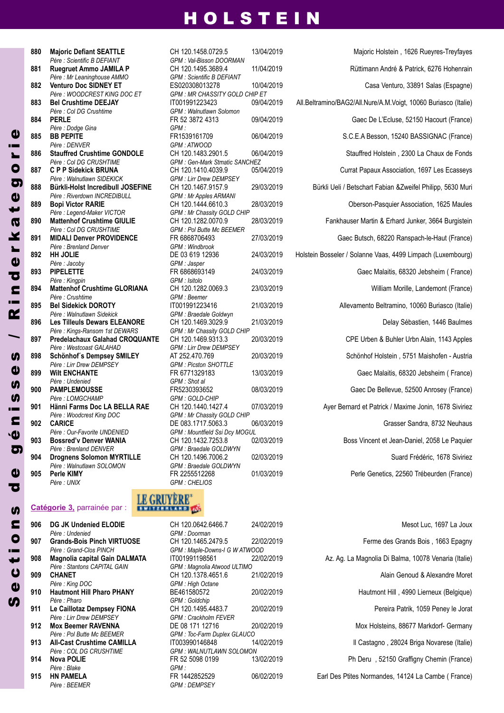*Père : Scientific B DEFIANT GPM : Val-Bisson DOORMAN Père : Mr Leaninghouse AMMO GPM : Scientific B DEFIANT Père : Col DG Crushtime GPM : Walnutlawn Solomon Père : Dodge Gina GPM : Père : DENVER GPM : ATWOOD Père : Walnutlawn SIDEKICK GPM : Lirr Drew DEMPSEY Père : Riverdown INCREDIBULL GPM : Mr Apples ARMANI Père : Legend-Maker VICTOR GPM : Mr Chassity GOLD CHIP Père : Col DG CRUSHTIME GPM : Pol Butte Mc BEEMER Père : Brenland Denver GPM : Windbrook Père : Jacoby GPM : Jasper Père : Kingpin GPM : Isitolo Père : Crushtime GPM : Beemer Père : Walnutlawn Sidekick GPM : Braedale Goldwyn Père* : *Kings-Ransom 1st DEWARS GPM : Mr Chassity GO.*<br>**Predelachaux Galahad CROQUANTE** CH 120.1469.9313.3  $P$ ère *: Westcoast GALAHAD*  $P$ ère : Lirr *Drew DEMPSEY Père : Undenied GPM : Shot al Père : LOMGCHAMP GPM : GOLD-CHIP Père : Woodcrest King DOC GPM : Mr Chassity GOLD CHIP Père : Walnutlawn SOLOMON GPM : Braedale GOLDWYN Père : UNIX GPM : CHELIOS*

#### **Catégorie 3,** parrainée par :

| 906 | <b>DG JK Undenied ELODIE</b>      | CH 1:       |
|-----|-----------------------------------|-------------|
|     | Père : Undenied                   | GPM:        |
| 907 | <b>Grands-Bois Pinch VIRTUOSE</b> | CH 1:       |
|     | Père : Grand-Clos PINCH           | GPM:        |
| 908 | Magnolia capital Gain DALMATA     | IT001       |
|     | Père: Stantons CAPITAL GAIN       | GPM:        |
| 909 | <b>CHANET</b>                     | CH 1:       |
|     | Père : King DOC                   | GPM.        |
| 910 | <b>Hautmont Hill Pharo PHANY</b>  | <b>BE46</b> |
|     | Père : Pharo                      | GPM:        |
| 911 | Le Caillotaz Dempsey FIONA        | CH 1:       |
|     | Père : Lirr Drew DEMPSEY          | GPM:        |
| 912 | <b>Mox Beemer RAVENNA</b>         | DE 08       |
|     | Père : Pol Butte Mc BEEMER        | GPM:        |
| 913 | <b>All-Cast Crushtime CAMILLA</b> | IT003       |
|     | <i>Père : COL DG CRUSHTIME</i>    | GPM :       |
| 914 | Nova POLIE                        | FR 52       |
|     | Père : Blake                      | GPM.        |
| 915 | <b>HN PAMELA</b>                  | FR 14       |
|     | Pàre REEMER                       | <b>GPM</b>  |

**S** e $\boldsymbol{\mathsf{U}}$ t

 $\bullet$  $\blacksquare$ <u>ທ</u>

 $\overline{\mathbf{C}}$ e

 $\overline{\mathbf{c}}$ é

n i s

s $\mathbf{a}$ s

/

**R** 

 i n **D** erk $\overline{a}$ t $\boldsymbol{0}$  $\sigma$ or

 $\boldsymbol{a}$ 

*Père : WOODCREST KING DOC ET GPM : MR CHASSITY GOLD CHIP ET Père : Col DG CRUSHTIME GPM : Gen-Mark Stmatic SANCHEZ Père : Our-Favorite UNDENIED GPM : Mountfield Ssi Dcy MOGUL Père : Brenland DENVER GPM : Braedale GOLDWYN*

**880 Majoric Defiant SEATTLE** CH 120.1458.0729.5 13/04/2019 Majoric Holstein , 1626 Rueyres-Treyfayes<br>Pere : Scientific B DEFIANT GPM : Val-Bisson DOORMAN **Ruegruet Ammo JAMILA P** CH 120.1495.3689.4 11/04/2019 Rüttimann André & Patrick, 6276 Hohenrain **Venturo Doc SIDnEy ET** ES020308013278 10/04/2019 Casa Venturo, 33891 Salas (Espagne) **Bel Crushtime DEEJAy** IT001991223423 09/04/2019 All.Beltramino/BAG2/All.Nure/A.M.Voigt, 10060 Buriasco (Italie) **PERLE** FR 52 3872 4313 09/04/2019 Gaec De L'Ecluse, 52150 Hacourt (France) **885 BB PEPITE** FR1539161709 06/04/2019 S.C.E.A Besson, 15240 BASSIGNAC (France)<br>Père : DENVER **886 Stauffred Crushtime GONDOLE** CH 120.1483.2901.5 06/04/2019 Stauffred Holstein , 2300 La Chaux de Fonds<br>
Père : Col DG CRUSHTIME GPM : Gen-Mark Stmatic SANCHEZ **C P P Sidekick BRUnA** CH 120.1410.4039.9 05/04/2019 Currat Papaux Association, 1697 Les Ecasseys **Bürkli-Holst Incredibull JOSEFInE** CH 120.1467.9157.9 29/03/2019 Bürkli Ueli / Betschart Fabian &Zweifel Philipp, 5630 Muri **Bopi Victor RARIE** CH 120.1444.6610.3 28/03/2019 Oberson-Pasquier Association, 1625 Maules Père : Legend-Maker VICTOR GPM : Mr Chassity GOLD CHIP **Mattenhof Crushtime GIULIE** CH 120.1282.0070.9 28/03/2019 Fankhauser Martin & Erhard Junker, 3664 Burgistein **MIDALI Denver PROVIDEnCE** FR 6868706493 27/03/2019 Gaec Butsch, 68220 Ranspach-le-Haut (France) **892 HH JOLIE** DE 03 619 12936 24/03/2019 Holstein Bosseler / Solanne Vaas, 4499 Limpach (Luxembourg)<br>Père : Jacoby **PIPELETTE** FR 6868693149 24/03/2019 Gaec Malaitis, 68320 Jebsheim ( France) **Mattenhof Crushtime GLORIAnA** CH 120.1282.0069.3 23/03/2019 William Morille, Landemont (France) **Bel Sidekick DOROTy** IT001991223416 21/03/2019 Allevamento Beltramino, 10060 Buriasco (Italie) **896 Les Tilleuls Dewars ELEANORE** CH 120.1469.3029.9 21/03/2019 **Delay Sébastien, 1446 Baulmes** Père : Kings-Ransom 1st DEWARS GPM : Mr Chassity GOLD CHIP **Predelachaux Galahad CROQUAnTE** CH 120.1469.9313.3 20/03/2019 CPE Urben & Buhler Urbn Alain, 1143 Apples **898 Schönhof´s Dempsey SMILEY** AT 252.470.769 20/03/2019 Schönhof Holstein , 5751 Maishofen - Austria<br>Père : Lirr Drew DEMPSEY GPM : Picston SHOTTLE **Wilt EnCHAnTE** FR 6771329183 13/03/2019 Gaec Malaitis, 68320 Jebsheim ( France) **PAMPLEMOUSSE** FR5230393652 08/03/2019 Gaec De Bellevue, 52500 Anrosey (France) **Hänni Farms Doc LA BELLA RAE** CH 120.1440.1427.4 07/03/2019 Ayer Bernard et Patrick / Maxime Jonin, 1678 Siviriez **CARICE** DE 083.1717.5063.3 06/03/2019 Grasser Sandra, 8732 Neuhaus **903 Bossred'v Denver WANIA** CH 120.1432.7253.8 02/03/2019 Boss Vincent et Jean-Daniel, 2058 Le Paquier<br>Père : Brenland DENVER **Drognens Solomon MyRTILLE** CH 120.1496.7006.2 02/03/2019 Suard Frédéric, 1678 Siviriez **Perle KIMy** FR 2255512268 01/03/2019 Perle Genetics, 22560 Trébeurden (France)

#### **LE GRUYÈRE BYRELLIVED MS**

**906 DG JK Undenied ELODIE** CH 120.0642.6466.7 24/02/2019 Mesot Luc, 1697 La Joux *Père : Undenied GPM : Doorman*  $GPM$  *: Maple-Downs-I G W ATWOOD Père : Stantons CAPITAL GAIN GPM : Magnolia Atwood ULTIMO Père : King DOC GPM : High Octane Père : Pharo GPM : Goldchip Père : Lirr Drew DEMPSEY GPM : Crackholm FEVER Père : Pol Butte Mc BEEMER GPM : Toc-Farm Duplex GLAUCO*  $GPM$  *: WALNUTLAWN SOLOMON*  $GPM$  *: DEMPSEY* 

**907 Grands-Bois Pinch VIRTUOSE** CH 120.1465.2479.5 22/02/2019 Ferme des Grands Bois , 1663 Epagny **908 Magnolia capital Gain DALMATA** IT001991198561 22/02/2019 Az. Ag. La Magnolia Di Balma, 10078 Venaria (Italie) **909 CH 120.1378.4651.6 21/02/2019 2019** Alain Genoud & Alexandre Moret **90002/2019 Hautmont Hill** , 4990 Lierneux (Belgique) **911 Le Caillotaz Dempsey FIOnA** CH 120.1495.4483.7 20/02/2019 Pereira Patrik, 1059 Peney le Jorat **20/02/2019** Mox Holsteins, 88677 Markdorf- Germany **Il Castagno** , 28024 Briga Novarese (Italie) **914 nova POLIE** FR 52 5098 0199 13/02/2019 Ph Deru , 52150 Graffigny Chemin (France) **915 Hn PAMELA** FR 1442852529 06/02/2019 Earl Des Ptites Normandes, 14124 La Cambe ( France)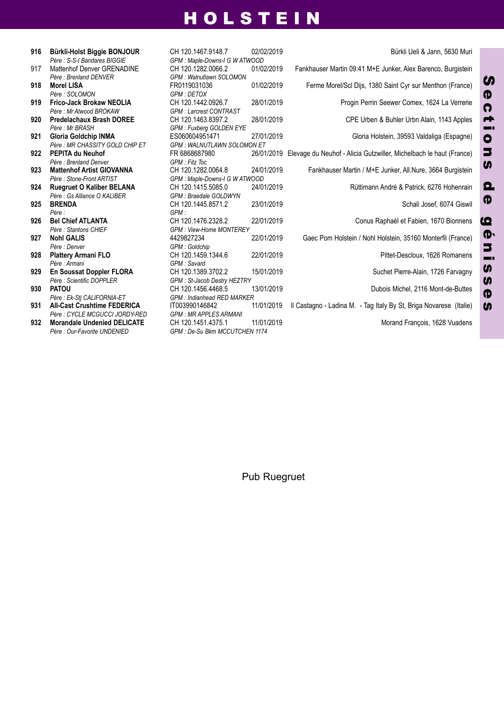| 916 | Bürkli-Holst Biggie BONJOUR        | CH 1:       |
|-----|------------------------------------|-------------|
|     | Père: S-S-I Bandares BIGGIE        | GPM:        |
| 917 | Mattenhof Denver GRENADINE         | CH 1:       |
|     | Père: Brenland DENVER              | GPM:        |
| 918 | <b>Morel LISA</b>                  | <b>FR01</b> |
|     | Père : SOLOMON                     | GPM:        |
| 919 | <b>Frico-Jack Brokaw NEOLIA</b>    | CH 1:       |
|     | Père: Mr Atwood BROKAW             | GPM:        |
| 920 | <b>Predelachaux Brash DOREE</b>    | CH 1:       |
|     | Père : Mr BRASH                    | GPM:        |
| 921 | Gloria Goldchip INMA               | <b>ES06</b> |
|     | Père : MR CHASSITY GOLD CHIP ET    | GPM:        |
| 922 | PEPITA du Neuhof                   | FR 68       |
|     | Père: Brenland Denver              | GPM:        |
| 923 | <b>Mattenhof Artist GIOVANNA</b>   | CH 1:       |
|     | Père: Stone-Front ARTIST           | GPM:        |
| 924 | <b>Ruegruet O Kaliber BELANA</b>   | CH 1:       |
|     | Père : Gs Alliance O KALIBER       | GPM:        |
| 925 | <b>BRENDA</b>                      | CH 1:       |
|     | Père :                             | GPM:        |
| 926 | <b>Bel Chief ATLANTA</b>           | CH 1:       |
|     | Père: Stantons CHIEF               | GPM:        |
| 927 | <b>Nohl GALIS</b>                  | 44298       |
|     | Père : Denver                      | GPM:        |
| 928 | <b>Plattery Armani FLO</b>         | CH 1:       |
|     | Père : Armani                      | GPM:        |
| 929 | <b>En Soussat Doppler FLORA</b>    | CH 1:       |
|     | Père : Scientific DOPPLER          | GPM:        |
| 930 | <b>PATOU</b>                       | CH 1:       |
|     | Père : Ek-Sti CALIFORNIA-ET        | GPM:        |
| 931 | <b>All-Cast Crushtime FEDERICA</b> | IT003       |
|     | Père : CYCLE MCGUCCI JORDY-RED     | GPM.        |
| 932 | <b>Morandale Undenied DELICATE</b> | CH 1:       |
|     | Père : Our-Favorite UNDENIED       | GPM:        |

*Père : S-S-I Bandares BIGGIE GPM : Maple-Downs-I G W ATWOOD Père : Brenland DENVER GPM : Walnutlawn SOLOMON Père : SOLOMON GPM : DETOX Père : Mr Atwood BROKAW GPM : Larcrest CONTRAST Père : Mr BRASH GPM : Fuxberg GOLDEN EYE Père : MR CHASSITY GOLD CHIP ET GPM : WALNUTLAWN SOLOMON ET Père : Brenland Denver GPM : Fitz Toc Père : Stone-Front ARTIST GPM : Maple-Downs-I G W ATWOOD Père : Gs Alliance O KALIBER GPM : Braedale GOLDWYN Père : Stantons CHIEF GPM : View-Home MONTEREY Père : Denver GPM : Goldchip Père : Armani GPM : Savard Père : Scientific DOPPLER GPM : St-Jacob Destry HEZTRY Père : Ek-Stj CALIFORNIA-ET GPM : Indianhead RED MARKER Père : CYCLE MCGUCCI JORDY-RED GPM : MR APPLES ARMANI* **932 Morandale Undenied DELICATE** CH 120.1451.4375.1 11/01/2019 Morand François, 1628 Vuadens *Père : Our-Favorite UNDENIED GPM : De-Su Bkm MCCUTCHEN 1174*

 **Bürkli-Holst Biggie BOnJOUR** CH 120.1467.9148.7 02/02/2019 Bürkli Ueli & Jann, 5630 Muri Fankhauser Martin 09:41 M+E Junker, Alex Barenco, Burgistein **Morel LISA** FR0119031036 01/02/2019 Ferme Morel/Scl Dijs, 1380 Saint Cyr sur Menthon (France) **Frico-Jack Brokaw nEOLIA** CH 120.1442.0926.7 28/01/2019 Progin Perrin Seewer Comex, 1624 La Verrerie **Predelachaux Brash DOREE** CH 120.1463.8397.2 28/01/2019 CPE Urben & Buhler Urbn Alain, 1143 Apples **Gloria Goldchip InMA** ES060604951471 27/01/2019 Gloria Holstein, 39593 Valdaliga (Espagne) **PEPITA du neuhof** FR 6868687980 26/01/2019 Elevage du Neuhof - Alicia Gutzwiller, Michelbach le haut (France) **24/01/2019 Fankhauser Martin / M+E Junker, All.Nure, 3664 Burgistein Ruegruet O Kaliber BELAnA** CH 120.1415.5085.0 24/01/2019 Rüttimann André & Patrick, 6276 Hohenrain **BREnDA** CH 120.1445.8571.2 23/01/2019 Schali Josef, 6074 Giswil **Bel Chief ATLAnTA** CH 120.1476.2328.2 22/01/2019 Conus Raphaél et Fabien, 1670 Bionnens **nohl GALIS** 4429827234 22/01/2019 Gaec Pom Holstein / Nohl Holstein, 35160 Monterfil (France) **Plattery Armani FLO** CH 120.1459.1344.6 22/01/2019 Pittet-Descloux, 1626 Romanens **En Soussat Doppler FLORA** CH 120.1389.3702.2 15/01/2019 Suchet Pierre-Alain, 1726 Farvagny **PATOU** CH 120.1456.4468.5 13/01/2019 Dubois Michel, 2116 Mont-de-Buttes **All-Cast Crushtime FEDERICA** IT003990146842 11/01/2019 Il Castagno - Ladina M. - Tag Italy By St, Briga Novarese (Italie)

Pub Ruegruet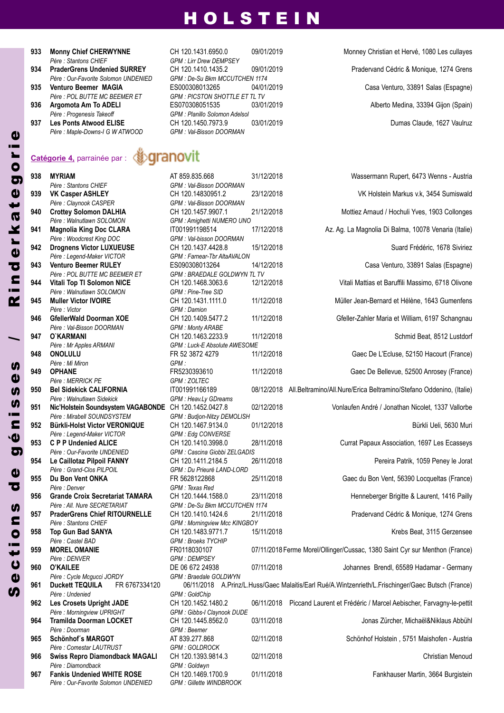- *Père : Stantons CHIEF GPM : Lirr Drew DEMPSEY*
- *Père : Our-Favorite Solomon UNDENIED GPM : De-Su Bkm MCCUTCHEN 1174*
- 
- *Père : Progenesis Takeoff GPM : Planillo Solomon Adelsol*
- *Père : Maple-Downs-I G W ATWOOD GPM : Val-Bisson DOORMAN*

#### ‱eranovit **Catégorie 4,** parrainée par :

 $P$ ère : Stantons CHIEF  $P$ ère : Claynook CASPER  $P\$ {e}re  $:$  *Walnutlawn* SOLOMON  $P$ ère : *Woodcrest King DOC*  $P$ ère : Legend-Maker VICTOR  $P\hat{e}$  *re*  $\hat{e}$  *POL BUTTE MC BEEMER ET*  $P$ ère : Walnutlawn SOLOMON  $P$ *ère : Victor*  $P$ ère : Val-Bisson DOORMAN  $P\text{ère : Mr Apples ARMANI}$  $P\grave{e}$ *re : Mi Miron*  $P\hat{e}$ *re*  $:$  *MERRICK PE*  $P$ ère : Walnutlawn Sidekick  $P\text{ère : Mirabell \,} \textit{SOUND} \textit{SYSTEM}$  $P$ ère : Legend-Maker VICTOR  $P$ ère : *Our-Favorite UNDENIED*  $P$ ère : *Grand-Clos PILPOIL*  $P$ *ère : Denver Père : All. Nure SECRETARIAT*<br>**PraderGrens Chief RITOURNELLE**  $P$ ère : Stantons CHIEF  $P$ ère : Castel **BAD**  $P\text{ère : DENVER}$  $P$ ère : Cycle *Mcgucci* JORDY  $P$ ère : *Undenied*  $P$ ère : Morningview **UPRIGHT**  $P\$ {e}re *: Doorman*  $P\$ {e}re *:* Comestar LAUTRUST  $P$ *ère : Diamondback* **967 Fankis Undenied WHITE ROSE** CH 120.1469.1700.9 01/11/2018 **Fankhauser Martin, 3664 Burgistein**<br>Père : Qur-Favorite Solomon UNDENIED GPM : Gillette WINDBROOK  $P\text{ère } \cdot \text{Our-Favorite}$  *Solomon UNDFNIFD* g

**933 Monny Chief CHERWynnE** CH 120.1431.6950.0 09/01/2019 Monney Christian et Hervé, 1080 Les cullayes *Père : POL BUTTE MC BEEMER ET GPM : PICSTON SHOTTLE ET TL TV* **937 Les Ponts Atwood ELISE** CH 120.1450.7973.9 03/01/2019 Dumas Claude, 1627 Vaulruz

**934 PraderGrens Undenied SURREy** CH 120.1410.1435.2 09/01/2019 Pradervand Cédric & Monique, 1274 Grens **935 Venturo Beemer MAGIA** ES000308013265 04/01/2019 Casa Venturo, 33891 Salas (Espagne) **936 Argomota Am To ADELI** ES070308051535 03/01/2019 Alberto Medina, 33394 Gijon (Spain)

| 938 | <b>MYRIAM</b>                                                | AT 859.835.668                                   | 31/12/2018 | Wassermann Rupert, 6473 Wenns - Austria                                                            |
|-----|--------------------------------------------------------------|--------------------------------------------------|------------|----------------------------------------------------------------------------------------------------|
|     | Père : Stantons CHIEF                                        | GPM: Val-Bisson DOORMAN                          |            |                                                                                                    |
| 939 | <b>VK Casper ASHLEY</b>                                      | CH 120.14830951.2                                | 23/12/2018 | VK Holstein Markus v.k, 3454 Sumiswald                                                             |
|     | Père : Claynook CASPER                                       | GPM : Val-Bisson DOORMAN                         |            |                                                                                                    |
| 940 | <b>Crottey Solomon DALHIA</b><br>Père : Walnutlawn SOLOMON   | CH 120.1457.9907.1<br>GPM : Amighetti NUMERO UNO | 21/12/2018 | Mottiez Arnaud / Hochuli Yves, 1903 Collonges                                                      |
| 941 | <b>Magnolia King Doc CLARA</b>                               | IT001991198514                                   | 17/12/2018 | Az. Ag. La Magnolia Di Balma, 10078 Venaria (Italie)                                               |
|     | Père : Woodcrest King DOC                                    | GPM : Val-bisson DOORMAN                         |            |                                                                                                    |
| 942 | <b>Drognens Victor LUXUEUSE</b>                              | CH 120.1437.4428.8                               | 15/12/2018 | Suard Frédéric, 1678 Siviriez                                                                      |
|     | Père : Legend-Maker VICTOR                                   | GPM: Farnear-Tbr AltaAVALON                      |            |                                                                                                    |
| 943 | <b>Venturo Beemer RULEY</b>                                  | ES090308013264                                   | 14/12/2018 | Casa Venturo, 33891 Salas (Espagne)                                                                |
|     | Père : POL BUTTE MC BEEMER ET                                | <b>GPM: BRAEDALE GOLDWYN TL TV</b>               |            |                                                                                                    |
| 944 | Vitali Top TI Solomon NICE                                   | CH 120.1468.3063.6                               | 12/12/2018 | Vitali Mattias et Baruffili Massimo, 6718 Olivone                                                  |
|     | Père : Walnutlawn SOLOMON                                    | GPM : Pine-Tree SID                              |            |                                                                                                    |
| 945 | <b>Muller Victor IVOIRE</b><br>Père : Victor                 | CH 120.1431.1111.0<br>GPM : Damion               | 11/12/2018 | Müller Jean-Bernard et Hélène, 1643 Gumenfens                                                      |
| 946 | GfellerWald Doorman XOE                                      | CH 120.1409.5477.2                               | 11/12/2018 | Gfeller-Zahler Maria et William, 6197 Schangnau                                                    |
|     | Père : Val-Bisson DOORMAN                                    | <b>GPM: Monty ARABE</b>                          |            |                                                                                                    |
| 947 | O`KARMANI                                                    | CH 120.1463.2233.9                               | 11/12/2018 | Schmid Beat, 8512 Lustdorf                                                                         |
|     | Père : Mr Apples ARMANI                                      | GPM : Luck-E Absolute AWESOME                    |            |                                                                                                    |
| 948 | <b>ONOLULU</b>                                               | FR 52 3872 4279                                  | 11/12/2018 | Gaec De L'Ecluse, 52150 Hacourt (France)                                                           |
|     | Père : Mi Miron                                              | GPM:                                             |            |                                                                                                    |
| 949 | <b>OPHANE</b>                                                | FR5230393610                                     | 11/12/2018 | Gaec De Bellevue, 52500 Anrosey (France)                                                           |
|     | Père : MERRICK PE                                            | GPM: ZOLTEC                                      |            | 08/12/2018 All.Beltramino/All.Nure/Erica Beltramino/Stefano Oddenino, (Italie)                     |
| 950 | <b>Bel Sidekick CALIFORNIA</b><br>Père : Walnutlawn Sidekick | IT001991166189<br>GPM : Heav.Ly GDreams          |            |                                                                                                    |
| 951 | Nic'Holstein Soundsystem VAGABONDE CH 120.1452.0427.8        |                                                  | 02/12/2018 | Vonlaufen André / Jonathan Nicolet, 1337 Vallorbe                                                  |
|     | Père : Mirabell SOUNDSYSTEM                                  | GPM : Budjon-Nitzy DEMOLISH                      |            |                                                                                                    |
| 952 | <b>Bürkli-Holst Victor VERONIQUE</b>                         | CH 120.1467.9134.0                               | 01/12/2018 | Bürkli Ueli, 5630 Muri                                                                             |
|     | Père : Legend-Maker VICTOR                                   | GPM : Edg CONVERSE                               |            |                                                                                                    |
| 953 | <b>C P P Undenied ALICE</b>                                  | CH 120.1410.3998.0                               | 28/11/2018 | Currat Papaux Association, 1697 Les Ecasseys                                                       |
|     | Père : Our-Favorite UNDENIED                                 | GPM : Cascina Giobbi ZELGADIS                    |            |                                                                                                    |
| 954 | Le Caillotaz Pilpoil FANNY                                   | CH 120.1411.2184.5                               | 26/11/2018 | Pereira Patrik, 1059 Peney le Jorat                                                                |
| 955 | Père : Grand-Clos PILPOIL<br>Du Bon Vent ONKA                | GPM : Du Prieuré LAND-LORD<br>FR 5628122868      | 25/11/2018 | Gaec du Bon Vent, 56390 Locqueltas (France)                                                        |
|     | Père : Denver                                                | GPM: Texas Red                                   |            |                                                                                                    |
| 956 | <b>Grande Croix Secretariat TAMARA</b>                       | CH 120.1444.1588.0                               | 23/11/2018 | Henneberger Brigitte & Laurent, 1416 Pailly                                                        |
|     | Père : All. Nure SECRETARIAT                                 | GPM : De-Su Bkm MCCUTCHEN 1174                   |            |                                                                                                    |
| 957 | <b>PraderGrens Chief RITOURNELLE</b>                         | CH 120.1410.1424.6                               | 21/11/2018 | Pradervand Cédric & Monique, 1274 Grens                                                            |
|     | Père : Stantons CHIEF                                        | GPM : Morningview Mcc KINGBOY                    |            |                                                                                                    |
| 958 | <b>Top Gun Bad SANYA</b>                                     | CH 120.1483.9771.7                               | 15/11/2018 | Krebs Beat, 3115 Gerzensee                                                                         |
|     | Père : Castel BAD                                            | <b>GPM: Broeks TYCHIP</b>                        |            |                                                                                                    |
| 959 | <b>MOREL OMANIE</b><br>Père : DENVER                         | FR0118030107<br><b>GPM: DEMPSEY</b>              |            | 07/11/2018 Ferme Morel/Ollinger/Cussac, 1380 Saint Cyr sur Menthon (France)                        |
| 960 | <b>O'KAILEE</b>                                              | DE 06 672 24938                                  | 07/11/2018 | Johannes Brendl, 65589 Hadamar - Germany                                                           |
|     | Père : Cycle Mcgucci JORDY                                   | GPM: Braedale GOLDWYN                            |            |                                                                                                    |
| 961 | <b>Duckett TEQUILA</b><br>FR 6767334120                      |                                                  |            | 06/11/2018 A.Prinz/L.Huss/Gaec Malaitis/Earl Rué/A.Wintzenrieth/L.Frischinger/Gaec Butsch (France) |
|     | Père : Undenied                                              | GPM: GoldChip                                    |            |                                                                                                    |
| 962 | <b>Les Crosets Upright JADE</b>                              | CH 120.1452.1480.2                               |            | 06/11/2018 Piccand Laurent et Frédéric / Marcel Aebischer, Farvagny-le-pettit                      |
|     | Père : Morningview UPRIGHT                                   | GPM : Gibbs-I Claynook DUDE                      |            |                                                                                                    |
| 964 | Tramilda Doorman LOCKET                                      | CH 120.1445.8562.0                               | 03/11/2018 | Jonas Zürcher, Michaël&Niklaus Abbühl                                                              |
| 965 | Père : Doorman<br>Schönhof's MARGOT                          | GPM: Beemer<br>AT 839.277.868                    | 02/11/2018 | Schönhof Holstein, 5751 Maishofen - Austria                                                        |
|     | Père : Comestar LAUTRUST                                     | <b>GPM: GOLDROCK</b>                             |            |                                                                                                    |
| 966 | <b>Swiss Repro Diamondback MAGALI</b>                        | CH 120.1393.9814.3                               | 02/11/2018 | Christian Menoud                                                                                   |
|     | Père : Diamondback                                           | GPM: Goldwyn                                     |            |                                                                                                    |
|     |                                                              |                                                  |            |                                                                                                    |

r k a t  $\boldsymbol{\omega}$ 

o

r i e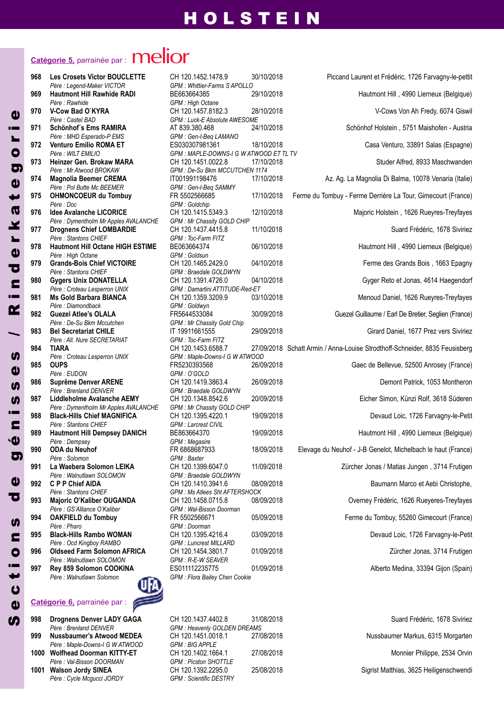# **Catégorie 5,** parrainée par :

| 968 | <b>Les Crosets Victor BOUCLETTE</b><br>Père : Legend-Maker VICTOR         |
|-----|---------------------------------------------------------------------------|
| 969 | <b>Hautmont Hill Rawhide RADI</b>                                         |
| 970 | Père : Rawhide<br>V-Cow Bad O'KYRA                                        |
| 971 | Père : Castel BAD<br><b>Schönhof's Ems RAMIRA</b>                         |
| 972 | Père : MHD Esperado-P EMS<br>Venturo Emilio ROMA ET                       |
| 973 | Père : WILT EMILIO<br>Heinzer Gen. Brokaw MARA                            |
|     | Père: Mr Atwood BROKAW                                                    |
| 974 | <b>Magnolia Beemer CREMA</b><br>Père : Pol Butte Mc BEEMER                |
| 975 | <b>OHMONCOEUR du Tombuy</b><br>Père : Doc                                 |
| 976 | <b>Idee Avalanche LICORICE</b><br>Père : Dymentholm Mr Apples AVALANC     |
| 977 | <b>Drognens Chief LOMBARDIE</b>                                           |
| 978 | Père : Stantons CHIEF<br><b>Hautmont Hill Octane HIGH ESTIN</b>           |
| 979 | Père : High Octane<br><b>Grands-Bois Chief VICTOIRE</b>                   |
| 980 | Père : Stantons CHIEF<br><b>Gygers Unix DONATELLA</b>                     |
| 981 | Père : Croteau Lesperron UNIX<br><b>Ms Gold Barbara BIANCA</b>            |
|     | Père : Diamondback                                                        |
| 982 | <b>Guezel Atlee's OLALA</b><br>Père : De-Su Bkm Mccutchen                 |
| 983 | <b>Bel Secretariat CHILE</b><br>Père : All. Nure SECRETARIAT              |
| 984 | TIARA<br>Père : Croteau Lesperron UNIX                                    |
| 985 | <b>OUPS</b><br>Père : EUDON                                               |
| 986 | Suprême Denver ARENE<br>Père : Brenland DENVER                            |
| 987 | Liddleholme Avalanche AEMY                                                |
| 988 | Père : Dymentholm Mr Apples AVALANC<br><b>Black-Hills Chief MAGNIFICA</b> |
| 989 | Père : Stantons CHIEF<br><b>Hautmont Hill Dempsey DANICH</b>              |
| 990 | Père : Dempsey<br>ODA du Neuhof                                           |
| 991 | Père : Solomon<br>La Waebera Solomon LEIKA                                |
| 992 | Père : Walnutlawn SOLOMON<br><b>C P P Chief AIDA</b>                      |
|     | Père : Stantons CHIEF                                                     |
| 993 | Majoric O'Kaliber OUGANDA<br>Père : GS'Alliance O'Kaliber                 |
| 994 | <b>OAKFIELD du Tombuy</b><br>Père : Pharo                                 |
| 995 | <b>Black-Hills Rambo WOMAN</b><br>Père : Ocd Kingboy RAMBO                |
| 996 | <b>Oldseed Farm Solomon AFRICA</b><br>Père : Walnutlawn SOLOMON           |
| 997 | Rey 859 Solomon COOKINA                                                   |
|     | Père : Walnutlawn Solomon                                                 |
|     |                                                                           |

**Catégorie 6,** parrainée par :

**S** 

 $\mathbf{d}$  $\overline{c}$ t

 $\bullet$ n**In** 

dd)

 $\overline{\mathbf{o}}$ d) n

<u>in</u> **LN**  $\mathbf{d}$ **un** 

/

ء<br>ڪ

 $\overline{\mathbf{C}}$  $\mathbf{d}$ rk $\overline{a}$ td) gor

d)

**998 Drognens Denver LADy GAGA** CH 120.1437.4402.8 31/08/2018 Suard Frédéric, 1678 Siviriez *Père : Brenland DENVER GPM : Heavenly GOLDEN DREAMS* **999 Nussbaumer's Atwood MEDEA** CH 120.1451.0018.1 27/08/2018 Nussbaumer Markus, 6315 Morgarten<br>Père : Maple-Downs-I G W ATWOOD GPM : BIG APPLE  $P\hat{e}$ re *: Maple-Downs-I G W ATWOOD* **1000 Wolfhead Doorman KITTy-ET** CH 120.1402.1664.1 27/08/2018 Monnier Philippe, 2534 Orvin *Père : Val-Bisson DOORMAN GPM : Picston SHOTTLE* **1001 Walson Jordy SInEA** CH 120.1392.2295.0 25/08/2018 Sigrist Matthias, 3625 Heiligenschwendi *Père : Cycle Mcgucci JORDY GPM : Scientific DESTRY*

*Père : Legend-Maker VICTOR GPM : Whittier-Farms S APOLLO Père : Rawhide GPM : High Octane Père : Castel BAD GPM : Luck-E Absolute AWESOME Père : MHD Esperado-P EMS GPM : Gen-I-Beq LAMANO Père : WILT EMILIO GPM : MAPLE-DOWNS-I G W ATWOOD ET TL TV Père : Mr Atwood BROKAW GPM : De-Su Bkm MCCUTCHEN 1174 Père : Pol Butte Mc BEEMER GPM : Gen-I-Beq SAMMY Père : Doc GPM : Goldchip*  $PHE$  *GPM : Mr Chassity GOLD CHIP Père : Stantons CHIEF GPM : Toc-Farm FITZ Père : High Octane GPM : Goldsun Père : Stantons CHIEF GPM : Braedale GOLDWYN Père : Croteau Lesperron UNIX GPM : Damartini ATTITUDE-Red-ET Père : Diamondback GPM : Goldwyn Père : De-Su Bkm Mccutchen GPM : Mr Chassity Gold Chip*  $GPM$  *: Toc-Farm FITZ Père : Croteau Lesperron UNIX GPM : Maple-Downs-I G W ATWOOD*  $GPM$  *: O'GOLD Père : Brenland DENVER GPM : Braedale GOLDWYN*  $BHE$  *GPM* : Mr Chassity GOLD CHIP  $GPM$  *: Larcrest CIVIL Père : Dempsey GPM : Megasire Père : Solomon GPM : Baxter*  $GPM$  *: Braedale*  $GOLDWYN$ *Père : Stantons CHIEF GPM : Ms Atlees Sht AFTERSHOCK Père : GS'Alliance O'Kaliber GPM : Wal-Bisson Doorman Père : Pharo GPM : Doorman*  $GPM$  *: Luncrest MILLARD Père : Walnutlawn SOLOMON GPM : R-E-W SEAVER Père : Walnutlawn Solomon GPM : Flora Bailey Chen Cookie*

 **Les Crosets Victor BOUCLETTE** CH 120.1452.1478.9 30/10/2018 Piccand Laurent et Frédéric, 1726 Farvagny-le-pettit **Hautmont Hill Rawhide RADI** BE663664385 29/10/2018 Hautmont Hill , 4990 Lierneux (Belgique) **V-Cow Bad O`KyRA** CH 120.1457.8182.3 28/10/2018 V-Cows Von Ah Fredy, 6074 Giswil **Schönhof´s Ems RAMIRA** AT 839.380.468 24/10/2018 Schönhof Holstein , 5751 Maishofen - Austria **Venturo Emilio ROMA ET** ES030307981361 18/10/2018 Casa Venturo, 33891 Salas (Espagne) **Heinzer Gen. Brokaw MARA** CH 120.1451.0022.8 17/10/2018 Studer Alfred, 8933 Maschwanden **Magnolia Beemer CREMA** IT001991198476 17/10/2018 Az. Ag. La Magnolia Di Balma, 10078 Venaria (Italie) **OHMOnCOEUR du Tombuy** FR 5502566685 17/10/2018 Ferme du Tombuy - Ferme Derrière La Tour, Gimecourt (France) 12/10/2018 **IDEE LICORY Majoric Holstein**, 1626 Rueyres-Treyfayes **Drognens Chief LOMBARDIE** CH 120.1437.4415.8 11/10/2018 Suard Frédéric, 1678 Siviriez **BE063664374 DE06/10/2018 Hautmont Hill** , 4990 Lierneux (Belgique) **Grands-Bois Chief VICTOIRE** CH 120.1465.2429.0 04/10/2018 Ferme des Grands Bois , 1663 Epagny **Gygers Unix DOnATELLA** CH 120.1391.4726.0 04/10/2018 Gyger Reto et Jonas, 4614 Haegendorf **Ms Gold Barbara BIAnCA** CH 120.1359.3209.9 03/10/2018 Menoud Daniel, 1626 Rueyres-Treyfayes **Guezel Atlee's OLALA** FR5644533084 30/09/2018 Guezel Guillaume / Earl De Bretier, Seglien (France) **Bel Secretariat CHILE** IT 19911661555 29/09/2018 Girard Daniel, 1677 Prez vers Siviriez **TIARA** CH 120.1453.6588.7 27/09/2018 Schatt Armin / Anna-Louise Strodthoff-Schneider, 8835 Feusisberg **OUPS** FR5230393568 26/09/2018 Gaec de Bellevue, 52500 Anrosey (France) **Suprême Denver AREnE** CH 120.1419.3863.4 26/09/2018 Demont Patrick, 1053 Montheron **Liddleholme Avalanche AEMy** CH 120.1348.8542.6 20/09/2018 Eicher Simon, Künzi Rolf, 3618 Süderen **Black-Hills Chief MAGnIFICA** CH 120.1395.4220.1 19/09/2018 Devaud Loic, 1726 Farvagny-le-Petit **Hautmont Hill Dempsey DAnICH** BE863664370 19/09/2018 Hautmont Hill , 4990 Lierneux (Belgique) **ODA du neuhof** FR 6868687933 18/09/2018 Elevage du Neuhof - J-B Genelot, Michelbach le haut (France) **La Waebera Solomon LEIKA** CH 120.1399.6047.0 11/09/2018 Zürcher Jonas / Matias Jungen , 3714 Frutigen **C P P Chief AIDA** CH 120.1410.3941.6 08/09/2018 Baumann Marco et Aebi Christophe, **Majoric O'Kaliber OUGAnDA** CH 120.1458.0715.8 08/09/2018 Overney Frédéric, 1626 Rueyeres-Treyfayes **OAKFIELD du Tombuy** FR 5502566671 05/09/2018 Ferme du Tombuy, 55260 Gimecourt (France) **Black-Hills Rambo WOMAn** CH 120.1395.4216.4 03/09/2018 Devaud Loic, 1726 Farvagny-le-Petit **Oldseed Farm Solomon AFRICA** CH 120.1454.3801.7 01/09/2018 Zürcher Jonas, 3714 Frutigen **91/09/2018 Alberto Medina, 33394 Gijon (Spain)**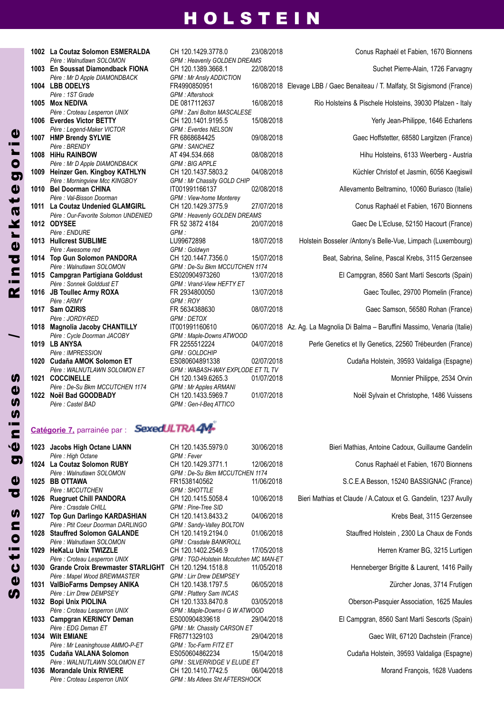| 1002 | La Coutaz Solomon ESMERALDA                                  | CH 120.1429.3778.0                          |
|------|--------------------------------------------------------------|---------------------------------------------|
|      | Père : Walnutlawn SOLOMON                                    | <b>GPM: Heavenly GOLDEN</b>                 |
| 1003 | En Soussat Diamondback FIONA                                 | CH 120.1389.3668.1                          |
|      | Père : Mr D Apple DIAMONDBACK                                | <b>GPM: Mr Ansly ADDICTION</b>              |
|      | 1004 LBB ODELYS<br>Père: 1ST Grade                           | FR4990850951<br>GPM : Aftershock            |
| 1005 | <b>Mox NEDIVA</b>                                            | DE 0817112637                               |
|      |                                                              | GPM : Zani Bolton MASC                      |
|      | Père : Croteau Lesperron UNIX<br><b>Everdes Victor BETTY</b> | CH 120.1401.9195.5                          |
| 1006 |                                                              |                                             |
| 1007 | Père : Legend-Maker VICTOR<br><b>HMP Brendy SYLVIE</b>       | <b>GPM: Everdes NELSON</b><br>FR 6868684425 |
|      | Père : BRENDY                                                | <b>GPM: SANCHEZ</b>                         |
|      | 1008 HiHu RAINBOW                                            | AT 494.534.668                              |
|      | Père : Mr D Apple DIAMONDBACK                                | <b>GPM: BIG APPLE</b>                       |
| 1009 | Heinzer Gen. Kingboy KATHLYN                                 | CH 120.1437.5803.2                          |
|      | Père : Morningview Mcc KINGBOY                               |                                             |
| 1010 | <b>Bel Doorman CHINA</b>                                     | GPM : Mr Chassity GOLD<br>IT001991166137    |
|      | Père : Val-Bisson Doorman                                    | <b>GPM</b> : View-home Monter               |
| 1011 | La Coutaz Undenied GLAMGIRL                                  | CH 120.1429.3775.9                          |
|      | Père : Our-Favorite Solomon UNDENIED                         | GPM : Heavenly GOLDEN                       |
|      | 1012 ODYSEE                                                  | FR 52 3872 4184                             |
|      | Père : ENDURE                                                | GPM:                                        |
|      | 1013 Hullcrest SUBLIME                                       | LU99672898                                  |
|      | Père : Awesome red                                           | GPM : Goldwyn                               |
|      | 1014 Top Gun Solomon PANDORA                                 | CH 120.1447.7356.0                          |
|      | Père : Walnutlawn SOLOMON                                    | GPM : De-Su Bkm MCCU                        |
| 1015 | <b>Campgran Partigiana Golddust</b>                          | ES020904973260                              |
|      | Père : Sonnek Golddust ET                                    | GPM: Vrand-View HEFTY                       |
| 1016 | <b>JB Toullec Army ROXA</b>                                  | FR 2934800050                               |
|      | Père : ARMY                                                  | GPM: ROY                                    |
| 1017 | Sam OZIRIS                                                   | FR 5634388630                               |
|      | Père : JORDY-RED                                             | <b>GPM: DETOX</b>                           |
| 1018 | <b>Magnolia Jacoby CHANTILLY</b>                             | IT001991160610                              |
|      | Père : Cycle Doorman JACOBY                                  | GPM : Maple-Downs ATW                       |
|      | 1019 LB ANYSA                                                | FR 2255512224                               |
|      | Père : IMPRESSION                                            | <b>GPM: GOLDCHIP</b>                        |
| 1020 | <b>Cudaña AMOK Solomon ET</b>                                | ES080604891338                              |
|      | Père : WALNUTLAWN SOLOMON ET                                 | GPM: WABASH-WAY EX                          |
|      | 1021 COCCINELLE                                              | CH 120.1349.6265.3                          |
|      | Père : De-Su Bkm MCCUTCHEN 1174                              | GPM : Mr Apples ARMAN                       |
| 1022 | Noël Bad GOODBADY                                            | CH 120.1433.5969.7                          |
|      | Père : Castel BAD                                            | GPM: Gen-I-Beg ATTICO                       |
|      |                                                              |                                             |

#### **Catégorie 7,** parrainée par :

|      | 1023 Jacobs High Octane LIANN         |
|------|---------------------------------------|
|      | Père : High Octane                    |
|      | 1024 La Coutaz Solomon RUBY           |
|      | Père : Walnutlawn SOLOMON             |
|      | 1025 BB OTTAWA                        |
|      | Père : MCCUTCHEN                      |
| 1026 | <b>Ruegruet Chill PANDORA</b>         |
|      | Père Crasdale CHILL                   |
|      | 1027 Top Gun Darlingo KARDASHIAN      |
|      | Père · Ptit Coeur Doorman DARI INGO   |
|      | 1028 Stauffred Solomon GALANDE        |
|      | Père : Walnutlawn SOLOMON             |
|      | 1029 HeKaLu Unix TWIZZLE              |
|      | Père : Croteau Lesperron UNIX         |
|      | 1030 Grande Croix Brewmaster STARLIGH |
|      | Père : Mapel Wood BREWMASTER          |
| 1031 | <b>ValBioFarms Dempsey ANIKA</b>      |
|      | Père · I irr Drew DFMPSFY             |
| 1032 | <b>Bopi Unix PIOLINA</b>              |
|      | Père : Croteau Lesperron UNIX         |
| 1033 | <b>Campgran KERINCY Deman</b>         |
|      | Père : EDG Deman ET                   |
|      | 1034 Wilt EMIANE                      |
|      | Père : Mr Leaninghouse AMMO-P-ET      |
|      | 1035 Cudaña VALANA Solomon            |
|      | Père : WALNUTLAWN SOLOMON ET          |
| 1036 | <b>Morandale Unix RIVIERE</b>         |

 $GPM$  *: Heavenly*  $GOLDEN$  *DREAMS*  $GPM$  *: Mr Ansly ADDICTION Père : 1ST Grade GPM : Aftershock Père : Croteau Lesperron UNIX GPM : Zani Bolton MASCALESE Père : Legend-Maker VICTOR GPM : Everdes NELSON*  $GPM$  *: SANCHEZ Père : Mr D Apple DIAMONDBACK GPM : BIG APPLE*  $GPM$  *: Mr Chassity GOLD CHIP Père : Val-Bisson Doorman GPM : View-home Monterey Père : Our-Favorite Solomon UNDENIED GPM : Heavenly GOLDEN DREAMS*  $GPM$  : *Père : Awesome red GPM : Goldwyn Père : Walnutlawn SOLOMON GPM : De-Su Bkm MCCUTCHEN 1174 Père : Sonnek Golddust ET GPM : Vrand-View HEFTY ET Père : ARMY GPM : ROY*  $GPM: DETOX$ *Père : Cycle Doorman JACOBY GPM : Maple-Downs ATWOOD Père : IMPRESSION GPM : GOLDCHIP GPM* : *WABASH-WAY EXPLODE ET TL TV*<br>CH 120.1349.6265.3 01/07/201  $GPM$  *: Mr Apples ARMANI* 

 **La Coutaz Solomon ESMERALDA** CH 120.1429.3778.0 23/08/2018 Conus Raphaél et Fabien, 1670 Bionnens **En Soussat Diamondback FIOnA** CH 120.1389.3668.1 22/08/2018 Suchet Pierre-Alain, 1726 Farvagny **LBB ODELyS** FR4990850951 16/08/2018 Elevage LBB / Gaec Benaiteau / T. Malfaty, St Sigismond (France) **DE 0817112637 16/08/2018 Rio Holsteins & Pischele Holsteins, 39030 Pfalzen - Italy Everdes Victor BETTy** CH 120.1401.9195.5 15/08/2018 Yerly Jean-Philippe, 1646 Echarlens **HMP Brendy SyLVIE** FR 6868684425 09/08/2018 Gaec Hoffstetter, 68580 Largitzen (France) **HiHu RAInBOW** AT 494.534.668 08/08/2018 Hihu Holsteins, 6133 Weerberg - Austria **Heinzer Gen. Kingboy KATHLyn** CH 120.1437.5803.2 04/08/2018 Küchler Christof et Jasmin, 6056 Kaegiswil **Bel Doorman CHInA** IT001991166137 02/08/2018 Allevamento Beltramino, 10060 Buriasco (Italie) **La Coutaz Undenied GLAMGIRL** CH 120.1429.3775.9 27/07/2018 Conus Raphaél et Fabien, 1670 Bionnens **ODySEE** FR 52 3872 4184 20/07/2018 Gaec De L'Ecluse, 52150 Hacourt (France) **Hullcrest SUBLIME** LU99672898 18/07/2018 Holstein Bosseler /Antony's Belle-Vue, Limpach (Luxembourg) **Top Gun Solomon PAnDORA** CH 120.1447.7356.0 15/07/2018 Beat, Sabrina, Seline, Pascal Krebs, 3115 Gerzensee **Campgran Partigiana Golddust** ES020904973260 13/07/2018 El Campgran, 8560 Sant Martí Sescorts (Spain) **JB Toullec Army ROXA** FR 2934800050 13/07/2018 Gaec Toullec, 29700 Plomelin (France) **Sam OzIRIS** FR 5634388630 08/07/2018 Gaec Samson, 56580 Rohan (France) **Magnolia Jacoby CHAnTILLy** IT001991160610 06/07/2018 Az. Ag. La Magnolia Di Balma – Baruffini Massimo, Venaria (Italie) **LB AnySA** FR 2255512224 04/07/2018 Perle Genetics et Ily Genetics, 22560 Trébeurden (France) **Cudaña AMOK Solomon ET** ES080604891338 02/07/2018 Cudaña Holstein, 39593 Valdaliga (Espagne) **1021/2018** Monnier Philippe, 2534 Orvin **noël Bad GOODBADy** CH 120.1433.5969.7 01/07/2018 Noël Sylvain et Christophe, 1486 Vuissens

**CH 120.1435.5979.0 30/06/2018** *Père : High Octane GPM : Fever* **CH 120.1429.3771.1 12/06/2018** *Père : Walnutlawn SOLOMON GPM : De-Su Bkm MCCUTCHEN 1174*  $GPM \cdot SHOTTI$  **F CH 120.1415.5058.4** 10/06/2018 Bie *Père : Crasdale CHILL GPM : Pine-Tree SID* **CH 120.1413.8433.2** 04/06/2018  $GPM$  *: Sandy-Valley BOLTON* **CH 120.1419.2194.0 01/06/2018**  $GPM$  *: Crasdale BANKROLL* **CH 120.1402.2546.9 17/05/2018** *Père : Croteau Lesperron UNIX GPM : TGD-Holstein Mccutchen MC MAN-ET* **HT** CH 120.1294.1518.8 11/05/2018 *Père : Mapel Wood BREWMASTER GPM : Lirr Drew DEMPSEY* **CH 120.1438.1797.5 06/05/2018** *Père : Lirr Drew DEMPSEY GPM : Plattery Sam INCAS* **CH 120.1333.8470.8 03/05/2018** *Père : Croteau Lesperron UNIX GPM : Maple-Downs-I G W ATWOOD* **1033 Campgran KERInCy Deman** ES000904839618 29/04/2018 El Campgran, 8560 Sant Martí Sescorts (Spain) *Père : EDG Deman ET GPM : Mr. Chassity CARSON ET Père : Mr Leaninghouse AMMO-P-ET GPM : Toc-Farm FITZ ET* **1035 Cudaña VALAnA Solomon** ES050604862234 15/04/2018 Cudaña Holstein, 39593 Valdaliga (Espagne)  $GPM$  *: SILVERRIDGE V ELUDE ET* **CH 120.1410.7742.5 06/04/2018** *Père : Croteau Lesperron UNIX GPM : Ms Atlees Sht AFTERSHOCK*

| 1023 | Jacobs High Octane LIANN               | CH 120.1435.5979.0                           | 30/06/2018 | Bieri Mathias, Antoine Cadoux, Guillaume Gandelin              |
|------|----------------------------------------|----------------------------------------------|------------|----------------------------------------------------------------|
|      | Père : High Octane                     | GPM : Fever                                  |            |                                                                |
|      | 1024 La Coutaz Solomon RUBY            | CH 120.1429.3771.1                           | 12/06/2018 | Conus Raphaél et Fabien, 1670 Bionnens                         |
|      | Père : Walnutlawn SOLOMON              | GPM: De-Su Bkm MCCUTCHEN 1174                |            |                                                                |
| 1025 | <b>BB OTTAWA</b>                       | FR1538140562                                 | 11/06/2018 | S.C.E.A Besson, 15240 BASSIGNAC (France)                       |
|      | Père : MCCUTCHEN                       | <b>GPM: SHOTTLE</b>                          |            |                                                                |
| 1026 | <b>Ruegruet Chill PANDORA</b>          | CH 120.1415.5058.4                           | 10/06/2018 | Bieri Mathias et Claude / A.Catoux et G. Gandelin, 1237 Avully |
|      | Père : Crasdale CHILL                  | GPM : Pine-Tree SID                          |            |                                                                |
|      | 1027 Top Gun Darlingo KARDASHIAN       | CH 120.1413.8433.2                           | 04/06/2018 | Krebs Beat, 3115 Gerzensee                                     |
|      | Père : Ptit Coeur Doorman DARLINGO     | GPM: Sandy-Valley BOLTON                     |            |                                                                |
|      | 1028 Stauffred Solomon GALANDE         | CH 120.1419.2194.0                           | 01/06/2018 | Stauffred Holstein, 2300 La Chaux de Fonds                     |
|      | Père : Walnutlawn SOLOMON              | <b>GPM: Crasdale BANKROLL</b>                |            |                                                                |
| 1029 | <b>HeKaLu Unix TWIZZLE</b>             | CH 120.1402.2546.9                           | 17/05/2018 | Herren Kramer BG, 3215 Lurtigen                                |
|      | Père : Croteau Lesperron UNIX          | <b>GPM: TGD-Holstein Mccutchen MC MAN-ET</b> |            |                                                                |
|      | 1030 Grande Croix Brewmaster STARLIGHT | CH 120.1294.1518.8                           | 11/05/2018 | Henneberger Brigitte & Laurent, 1416 Pailly                    |
|      | Père : Mapel Wood BREWMASTER           | <b>GPM: Lirr Drew DEMPSEY</b>                |            |                                                                |
|      | 1031 ValBioFarms Dempsey ANIKA         | CH 120.1438.1797.5                           | 06/05/2018 | Zürcher Jonas, 3714 Frutigen                                   |
|      | Père : Lirr Drew DEMPSEY               | <b>GPM: Plattery Sam INCAS</b>               |            |                                                                |
|      | 1032 Bopi Unix PIOLINA                 | CH 120.1333.8470.8                           | 03/05/2018 | Oberson-Pasquier Association, 1625 Maules                      |
|      | Père : Croteau Lesperron UNIX          | GPM: Maple-Downs-I G W ATWOOD                |            |                                                                |
|      | 1033 Campgran KERINCY Deman            | ES000904839618                               | 29/04/2018 | El Campgran, 8560 Sant Martí Sescorts (Spain)                  |
|      | Père : EDG Deman ET                    | GPM : Mr. Chassity CARSON ET                 |            |                                                                |
|      | <b>1034 Wilt EMIANE</b>                | FR6771329103                                 | 29/04/2018 | Gaec Wilt, 67120 Dachstein (France)                            |
|      | Père : Mr Leaninghouse AMMO-P-ET       | GPM: Toc-Farm FITZ ET                        |            |                                                                |
|      | 1035 Cudaña VALANA Solomon             | ES050604862234                               | 15/04/2018 | Cudaña Holstein, 39593 Valdaliga (Espagne)                     |
|      | Père : WALNUTLAWN SOLOMON ET           | <b>GPM: SILVERRIDGE V ELUDE ET</b>           |            |                                                                |
| 1036 | <b>Morandale Unix RIVIERE</b>          | CH 120.1410.7742.5                           | 06/04/2018 | Morand François, 1628 Vuadens                                  |
|      | Père Croteau Lesperron UNIX            | <b>GPM · Ms Atlees Sht AFTFRSHOCK</b>        |            |                                                                |

**S** e $\boldsymbol{\mathsf{U}}$ 

t i o

nU)

**d**  $\mathbf 0$ 

 $\overline{\mathbf{a}}$ é

ni s

 $\boldsymbol{\eta}$  $\mathbf{d}$ **In** 

/

R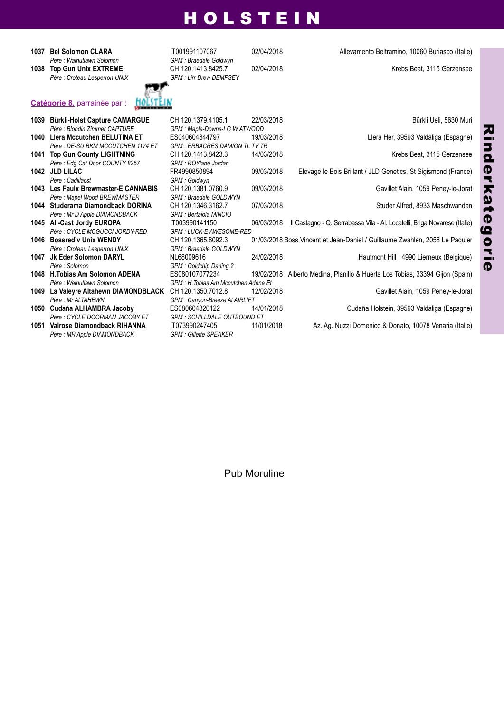*Père : Walnutlawn Solomon GPM : Braedale Goldwyn*

 $P$ ère : Croteau Lesperron UNIX

**Catégorie 8,** parrainée par :



**1037 Bel Solomon CLARA** IT001991107067 02/04/2018 Allevamento Beltramino, 10060 Buriasco (Italie)<br>Père : Walnutlawn Solomon **Branch GPM** : Braedale Goldwyn



|      | 1039 Bürkli-Holst Capture CAMARGUE   | CH 120.1379.4105.1                    | 22/03/2018 | Bürkli Ueli, 5630 Muri                                                       |
|------|--------------------------------------|---------------------------------------|------------|------------------------------------------------------------------------------|
|      | Père : Blondin Zimmer CAPTURE        | GPM: Maple-Downs-I G W ATWOOD         |            |                                                                              |
|      | 1040 Llera Mccutchen BELUTINA ET     | ES040604844797                        | 19/03/2018 | Llera Her, 39593 Valdaliga (Espagne)                                         |
|      | Père : DE-SU BKM MCCUTCHEN 1174 ET   | <b>GPM: ERBACRES DAMION TL TV TR</b>  |            |                                                                              |
|      | 1041 Top Gun County LIGHTNING        | CH 120.1413.8423.3                    | 14/03/2018 | Krebs Beat, 3115 Gerzensee                                                   |
|      | Père: Edg Cat Door COUNTY 8257       | GPM : ROYlane Jordan                  |            |                                                                              |
|      | 1042 JLD LILAC                       | FR4990850894                          | 09/03/2018 | Elevage le Bois Brillant / JLD Genetics, St Sigismond (France)               |
|      | Père : Cadillacst                    | GPM: Goldwyn                          |            |                                                                              |
|      | 1043 Les Faulx Brewmaster-E CANNABIS | CH 120.1381.0760.9                    | 09/03/2018 | Gavillet Alain, 1059 Peney-le-Jorat                                          |
|      | Père : Mapel Wood BREWMASTER         | GPM : Braedale GOLDWYN                |            |                                                                              |
|      | 1044 Studerama Diamondback DORINA    | CH 120.1346.3162.7                    | 07/03/2018 | Studer Alfred, 8933 Maschwanden                                              |
|      | Père : Mr D Apple DIAMONDBACK        | GPM : Bertaiola MINCIO                |            |                                                                              |
|      | 1045 All-Cast Jordy EUROPA           | IT003990141150                        | 06/03/2018 | Il Castagno - Q. Serrabassa Vila - Al. Locatelli, Briga Novarese (Italie)    |
|      | Père : CYCLE MCGUCCI JORDY-RED       | <b>GPM: LUCK-E AWESOME-RED</b>        |            |                                                                              |
|      | 1046 Bossred'v Unix WENDY            | CH 120.1365.8092.3                    |            | 01/03/2018 Boss Vincent et Jean-Daniel / Guillaume Zwahlen, 2058 Le Paguier  |
|      | Père : Croteau Lesperron UNIX        | GPM : Braedale GOLDWYN                |            |                                                                              |
| 1047 | Jk Eder Solomon DARYL                | NL68009616                            | 24/02/2018 | Hautmont Hill, 4990 Lierneux (Belgique)                                      |
|      | Père : Solomon                       | GPM: Goldchip Darling 2               |            |                                                                              |
|      | 1048 H.Tobias Am Solomon ADENA       | ES080107077234                        |            | 19/02/2018 Alberto Medina, Planillo & Huerta Los Tobias, 33394 Gijon (Spain) |
|      | Père : Walnutlawn Solomon            | GPM : H. Tobias Am Mccutchen Adene Et |            |                                                                              |
| 1049 | La Valeyre Altahewn DIAMONDBLACK     | CH 120.1350.7012.8                    | 12/02/2018 | Gavillet Alain, 1059 Peney-le-Jorat                                          |
|      | Père : Mr ALTAHEWN                   | GPM: Canyon-Breeze At AIRLIFT         |            |                                                                              |
|      | 1050 Cudaña ALHAMBRA Jacoby          | ES080604820122                        | 14/01/2018 | Cudaña Holstein, 39593 Valdaliga (Espagne)                                   |
|      | Père : CYCLE DOORMAN JACOBY ET       | <b>GPM : SCHILLDALE OUTBOUND ET</b>   |            |                                                                              |
| 1051 | Valrose Diamondback RIHANNA          | IT073990247405                        | 11/01/2018 | Az. Ag. Nuzzi Domenico & Donato, 10078 Venaria (Italie)                      |
|      | Père : MR Apple DIAMONDBACK          | <b>GPM: Gillette SPEAKER</b>          |            |                                                                              |

Pub Moruline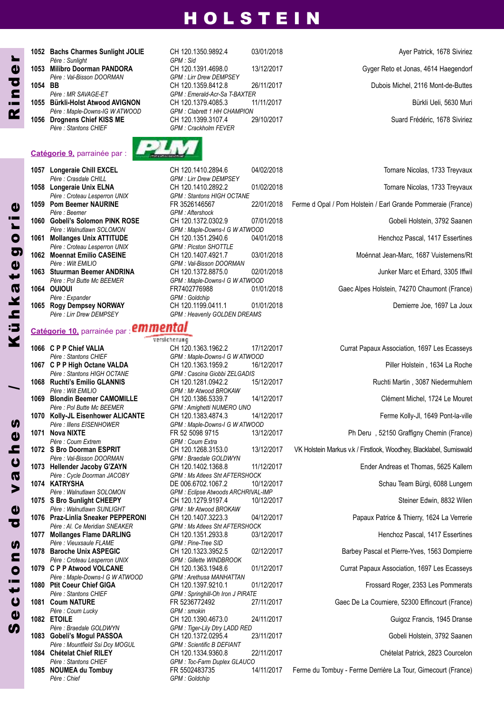**1052 Bachs Charmes Sunlight JOLIE** CH 120.1350.9892.4 03/01/2018 **CHA 120.1350.9892.4** Ayer Patrick, 1678 Siviriez *Père : Sunlight GPM : Sid Père : Val-Bisson DOORMAN GPM : Lirr Drew DEMPSEY*

*Père : Stantons CHIEF GPM : Crackholm FEVER*

#### **Catégorie 9,** parrainée par :

- *Père : Crasdale CHILL GPM : Lirr Drew DEMPSEY*
- *Père : Croteau Lesperron UNIX GPM : Picston SHOTTLE*
- 
- -

# **Catégorie 10,** parrainée par :

*Père : Wilt EMILIO GPM : Mr Atwood BROKAW Père : Pol Butte Mc BEEMER GPM : Amighetti NUMERO UNO Père : Coum Extrem GPM : Coum Extra Père : Val-Bisson DOORMAN GPM : Braedale GOLDWYN Père : Walnutlawn SUNLIGHT GPM : Mr Atwood BROKAW Père : Vieuxsaule FLAME GPM : Pine-Tree SID Père : Croteau Lesperron UNIX GPM : Gillette WINDBROOK Père : Maple-Downs-I G W ATWOOD GPM : Arethusa MANHATTAN Père : Coum Lucky GPM : smokin Père : Braedale GOLDWYN GPM : Tiger-Lily Dtry LADD RED*  $P$ ère : Mountfield Ssi Dcv MOGUL

*Père : Chief GPM : Goldchip*

**S**  $\mathbf{d}$  $\boldsymbol{\mathsf{U}}$ to<br>i t

n $\boldsymbol{\eta}$ 

dd

v $\boldsymbol{\varpi}$  $\boldsymbol{\mathsf{U}}$ he $\boldsymbol{y}$ 

**1053 Milibro Doorman PAnDORA** CH 120.1391.4698.0 13/12/2017 Gyger Reto et Jonas, 4614 Haegendorf **1054 BB** CH 120.1359.8412.8 26/11/2017 Dubois Michel, 2116 Mont-de-Buttes<br>Pere : MR SAVAGE-FT GPM Emerald-Acr-Sa T-RAXTER *Père : MR SAVAGE-ET GPM : Emerald-Acr-Sa T-BAXTER* **1055 Bürkli-Holst Atwood AVIGnOn** CH 120.1379.4085.3 11/11/2017 Bürkli Ueli, 5630 Muri *Père : Maple-Downs-IG W ATWOOD GPM : Clabrett 1 HH CHAMPION* **1056 Drognens Chief KISS ME** CH 120.1399.3107.4 29/10/2017 Suard Frédéric, 1678 Siviriez



*Père : Croteau Lesperron UNIX GPM : Stantons HIGH OCTANE Père : Beemer GPM : Aftershock Père : Walnutlawn SOLOMON GPM : Maple-Downs-I G W ATWOOD Père : Wilt EMILIO GPM : Val-Bisson DOORMAN Père : Pol Butte Mc BEEMER GPM : Maple-Downs-I G W ATWOOD Père : Expander GPM : Goldchip* **1065 Rogy Dempsey NORWAY** CH 120.1199.0411.1 01/01/2018 Demierre Joe, 1697 La Joux Pere : Lirr Drew DEMPSEY GPM : Heavenly GOLDEN DREAMS *Père : Lirr Drew DEMPSEY GPM : Heavenly GOLDEN DREAMS*

versicherung **1066 C P P Chief VALIA** CH 120.1363.1962.2 17/12/2017 Currat Papaux Association, 1697 Les Ecasseys *Père : Stantons CHIEF GPM : Maple-Downs-I G W ATWOOD Père : Stantons HIGH OCTANE GPM : Cascina Giobbi ZELGADIS Père : Illens EISENHOWER GPM : Maple-Downs-I G W ATWOOD Père : Cycle Doorman JACOBY GPM : Ms Atlees Sht AFTERSHOCK Père : Walnutlawn SOLOMON GPM : Eclipse Atwoods ARCHRIVAL-IMP Père : Al. Ce Meridian SNEAKER GPM : Ms Atlees Sht AFTERSHOCK Père : Stantons CHIEF GPM : Springhill-Oh Iron J PIRATE* **1083 Gobeli's Mogul PASSOA** CH 120.1372.0295.4 23/11/2017 Chertain and Chertain, 3792 Saanen<br>Père : Mountfield Ssi Dcv MOGUL GPM : Scientific B DEFIANT **1084 Chételat Chief RILEY** CH 120.1334.9360.8 22/11/2017 Chételat Patrick, 2823 Courcelon Père : Stantons CHIEF GPM : Toc-Farm Duplex GLAUCO *Père : Stantons CHIEF GPM : Toc-Farm Duplex GLAUCO*

 **Longeraie Chill EXCEL** CH 120.1410.2894.6 04/02/2018 Tornare Nicolas, 1733 Treyvaux **1058 Longeraie Unix ELNA** CH 120.1410.2892.2 01/02/2018 Tornare Nicolas, 1733 Treyvaux<br>Père : Croteau Lesperron UNIX GPM : Stantons HIGH OCTANE **Pom Beemer nAURInE** FR 3526146567 22/01/2018 Ferme d Opal / Pom Holstein / Earl Grande Pommeraie (France) **Gobeli's Solomon PInK ROSE** CH 120.1372.0302.9 07/01/2018 Gobeli Holstein, 3792 Saanen **Mollanges Unix ATTITUDE** CH 120.1351.2940.6 04/01/2018 Henchoz Pascal, 1417 Essertines **Moennat Emilio CASEInE** CH 120.1407.4921.7 03/01/2018 Moénnat Jean-Marc, 1687 Vuisternens/Rt **1063 Stuurman Beemer ANDRINA** CH 120.1372.8875.0 02/01/2018 Junker Marc et Erhard, 3305 Iffwil<br>Père : Pol Butte Mc BEEMER GPM : Maple-Downs-I G W ATWOOD **OUIOUI** FR7402776988 01/01/2018 Gaec Alpes Holstein, 74270 Chaumont (France)

# **1067 C P P High Octane VALDA** CH 120.1363.1959.2 16/12/2017 Piller Holstein , 1634 La Roche **1068 Ruchti's Emilio GLAnnIS** CH 120.1281.0942.2 15/12/2017 Ruchti Martin , 3087 Niedermuhlern **1069 Blondin Beemer CAMOMILLE** CH 120.1386.5339.7 14/12/2017 Clément Michel, 1724 Le Mouret **1070 Kolly-JL Eisenhower ALICAnTE** CH 120.1383.4874.3 14/12/2017 Ferme Kolly-Jl, 1649 Pont-la-ville **1071 nova nIXTE** FR 52 5098 9715 13/12/2017 Ph Deru , 52150 Graffigny Chemin (France) **13/12/2017 VK Holstein Markus v.k / Firstlook, Woodhey, Blacklabel, Sumiswald 1073 Hellender Jacoby G'zAyn** CH 120.1402.1368.8 11/12/2017 Ender Andreas et Thomas, 5625 Kallern **1074 KATRySHA** DE 006.6702.1067.2 10/12/2017 Schau Team Bürgi, 6088 Lungern **1075 S Bro Sunlight CHEEPy** CH 120.1279.9197.4 10/12/2017 Steiner Edwin, 8832 Wilen **1076 Praz-Linlia Sneaker PEPPEROnI** CH 120.1407.3223.3 04/12/2017 Papaux Patrice & Thierry, 1624 La Verrerie 1077 Mollanges Flame DARLING CH 120.1351.2933.8 03/12/2017 03/12/2017 Henchoz Pascal, 1417 Essertines **1078 Baroche Unix ASPEGIC** CH 120.1323.3952.5 02/12/2017 Barbey Pascal et Pierre-Yves, 1563 Dompierre **01/12/2017 Currat Papaux Association, 1697 Les Ecasseys 1080 Ptit Coeur Chief GIGA** CH 120.1397.9210.1 01/12/2017 Frossard Roger, 2353 Les Pommerats **1081 Coum nATURE** FR 5236772492 27/11/2017 Gaec De La Coumiere, 52300 Effincourt (France) **1082 ETOILE** CH 120.1390.4673.0 24/11/2017 Guigoz Francis, 1945 Dranse

**1085 nOUMEA du Tombuy** FR 5502483735 14/11/2017 Ferme du Tombuy - Ferme Derrière La Tour, Gimecourt (France)

C<br>M<br>K

d $\mathbf{d}$ r

/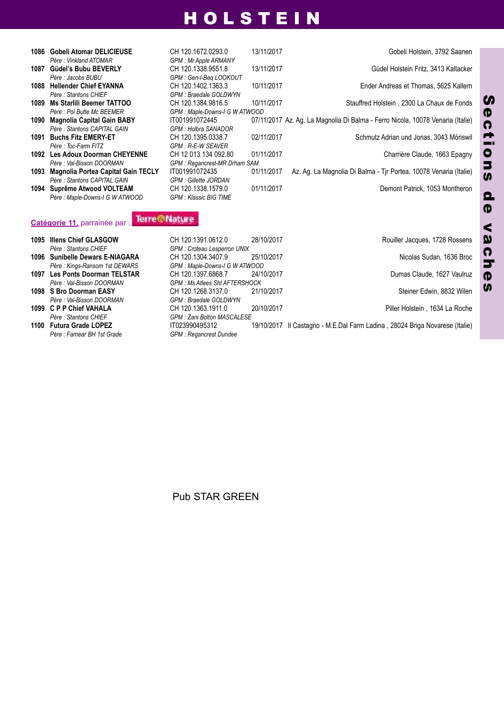| 1086 | <b>Gobeli Atomar DELICIEUSE</b><br>Père : Vinkland ATOMAR | CH 120.1672.0293.0<br><b>GPM: Mr Apple ARMANY</b> | 13/11/2017 | Gobeli Holstein, 3792 Saanen                                                   |
|------|-----------------------------------------------------------|---------------------------------------------------|------------|--------------------------------------------------------------------------------|
| 1087 | Güdel's Bubu BEVERLY                                      | CH 120.1338.9551.8                                | 13/11/2017 | Güdel Holstein Fritz, 3413 Kaltacker                                           |
| 1088 | Père : Jacobs BUBU<br><b>Hellender Chief EYANNA</b>       | GPM: Gen-I-Beg LOOKOUT<br>CH 120.1402.1363.3      | 10/11/2017 | Ender Andreas et Thomas, 5625 Kallern                                          |
|      | Père : Stantons CHIEF                                     | GPM : Braedale GOLDWYN                            |            |                                                                                |
|      | 1089 Ms Starlili Beemer TATTOO                            | CH 120.1384.9816.5                                | 10/11/2017 | Stauffred Holstein, 2300 La Chaux de Fonds                                     |
|      | Père : Pol Butte Mc BEEMER                                | GPM : Maple-Downs-I G W ATWOOD                    |            |                                                                                |
| 1090 | <b>Magnolia Capital Gain BABY</b>                         | IT001991072445                                    |            | 07/11/2017 Az. Ag. La Magnolia Di Balma - Ferro Nicola, 10078 Venaria (Italie) |
|      | Père : Stantons CAPITAL GAIN                              | <b>GPM: Holbra SANADOR</b>                        |            |                                                                                |
|      | 1091 Buchs Fitz EMERY-ET                                  | CH 120.1395.0338.7                                | 02/11/2017 | Schmutz Adrian und Jonas, 3043 Möriswil                                        |
|      | Père : Toc-Farm FITZ                                      | <b>GPM: R-E-W SEAVER</b>                          |            |                                                                                |
|      | 1092 Les Adoux Doorman CHEYENNE                           | CH 12 013 134 092.80                              | 01/11/2017 | Charrière Claude, 1663 Epagny                                                  |
|      | Père : Val-Bisson DOORMAN                                 | <b>GPM: Regancrest-MR Drham SAM</b>               |            |                                                                                |
| 1093 | <b>Magnolia Portea Capital Gain TECLY</b>                 | IT001991072435                                    | 01/11/2017 | Az. Ag. La Magnolia Di Balma - Tir Portea, 10078 Venaria (Italie)              |
|      | Père : Stantons CAPITAL GAIN                              | <b>GPM: Gillette JORDAN</b>                       |            |                                                                                |
|      | 1094 Suprême Atwood VOLTEAM                               | CH 120.1338.1579.0                                | 01/11/2017 | Demont Patrick, 1053 Montheron                                                 |
|      | Père : Maple-Downs-I G W ATWOOD                           | <b>GPM: Klassic BIG TIME</b>                      |            |                                                                                |

# **Catégorie 11,** parrainée par :

| 1095 Illens Chief GLASGOW       | CH 120.1391.0612.0                   | 28/10/2017 | Rouiller Jacques, 1728 Rossens                                              |
|---------------------------------|--------------------------------------|------------|-----------------------------------------------------------------------------|
| Père : Stantons CHIEF           | GPM: Croteau Lesperron UNIX          |            |                                                                             |
| 1096 Sunibelle Dewars E-NIAGARA | CH 120.1304.3407.9                   | 25/10/2017 | Nicolas Sudan, 1636 Broc                                                    |
| Père : Kings-Ransom 1st DEWARS  | GPM: Maple-Downs-I G W ATWOOD        |            |                                                                             |
| 1097 Les Ponts Doorman TELSTAR  | CH 120.1397.6868.7                   | 24/10/2017 | Dumas Claude, 1627 Vaulruz                                                  |
| Père : Val-Bisson DOORMAN       | <b>GPM: Ms Atlees Sht AFTERSHOCK</b> |            |                                                                             |
| 1098 S Bro Doorman EASY         | CH 120.1268.3137.0                   | 21/10/2017 | Steiner Edwin, 8832 Wilen                                                   |
| Père : Val-Bisson DOORMAN       | GPM : Braedale GOLDWYN               |            |                                                                             |
| 1099 C P P Chief VAHALA         | CH 120.1363.1911.0                   | 20/10/2017 | Piller Holstein, 1634 La Roche                                              |
| Père : Stantons CHIEF           | <b>GPM: Zani Bolton MASCALESE</b>    |            |                                                                             |
| 1100 Futura Grade LOPEZ         | IT023990495312                       |            | 19/10/2017 Il Castagno - M.E.Dal Farm Ladina, 28024 Briga Novarese (Italie) |
| Père : Farnear BH 1st Grade     | <b>GPM: Regancrest Dundee</b>        |            |                                                                             |
|                                 |                                      |            |                                                                             |

Pub STAR GREEN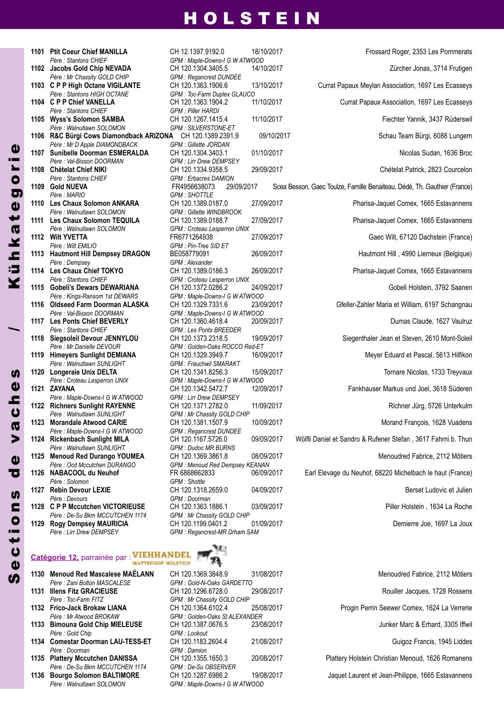*Père : Mr Chassity GOLD CHIP GPM : Regancrest DUNDEE Père : Stantons CHIEF GPM : Piller HARDI Père : Walnutlawn SOLOMON GPM : SILVERSTONE-ET Père : Mr D Apple DIAMONDBACK GPM : Gillette JORDAN Père : Stantons CHIEF GPM : Erbacres DAMION Père : MARIO GPM : SHOTTLE Père : Walnutlawn SOLOMON GPM : Gillette WINDBROOK Père : Wilt EMILIO GPM : Pin-Tree SID ET Père : Dempsey GPM : Alexander Père : Stantons CHIEF GPM : Croteau Lesperron UNIX Père : Stantons CHIEF GPM : Les Ponts BREEDER Père : Walnutlawn SUNLIGHT GPM : Frauchwil SMARAKT Père : Maple-Downs-I G W ATWOOD GPM : Lirr Drew DEMPSEY Père : Maple-Downs-I G W ATWOOD GPM : Regancrest DUNDEE Père : Walnutlawn SUNLIGHT GPM : Dudoc MR BURNS Père : Solomon GPM : Shottle Père : Devours GPM : Doorman Père : De-Su Bkm MCCUTCHEN 1174 GPM : Mr Chassity GOLD CHIP*

#### **Catégorie 12,** parrainée par : **MATTINHOP HOLSTEIN**

*Père : Zani Bolton MASCALESE GPM : Gold-N-Oaks GARDETTO* **1131 Illens Fitz GRACIEUSE** CH 120.1296.6728.0 29/08/2017<br>Père : Toc-Farm FITZ CHE GPM : Mr Chassity GOLD CHIP **1132 Frico-Jack Brokaw LIANA** CH 120.1364.6102.4 25/08/2017 *Père : Mr Atwood BROKAW GPM : Golden-Oaks St ALEXANDER* **1133 Bimouna Gold Chip MIELEUSE** CH 120.1387.0676.5 23/08/2017 *Père : Gold Chip GPM : Lookout* **1134 Comestar Doorman LAU-TESS-ET** CH 120.1183.2604.4 21/08/2017 *Père : Doorman GPM : Damion* **1135 Plattery Mccutchen DAnISSA** CH 120.1355.1650.3 20/08/2017 Plattery Holstein Christian Menoud, 1626 Romanens *Père : De-Su Bkm MCCUTCHEN 1174 GPM : De-Su OBSERVER*

**S**  $\overline{d}$  $\boldsymbol{\mathsf{U}}$ t

 i o n**U** 

 $\overline{c}$  $\mathbf{d}$ 

v**a**  $\overline{c}$ h $\boldsymbol{0}$  $\boldsymbol{\eta}$ 

/

Kühk a t  $\boldsymbol{\omega}$ g o

r i e

*Père : Walnutlawn SOLOMON GPM : Maple-Downs-I G W ATWOOD*



 **Jacobs Gold Chip nEVADA** CH 120.1304.3405.5 14/10/2017 Zürcher Jonas, 3714 Frutigen **C P P High Octane VIGILAnTE** CH 120.1363.1906.6 13/10/2017 Currat Papaux Meylan Association, 1697 Les Ecasseys **C P P Chief VAnELLA** CH 120.1363.1904.2 11/10/2017 Currat Papaux Association, 1697 Les Ecasseys **Wyss's Solomon SAMBA** CH 120.1267.1415.4 11/10/2017 Fiechter Yannik, 3437 Rüderswil **R&C Bürgi Cows Diamondback ARIZONA** CH 120.1389.2391.9 09/10/2017 Schau Team Bürgi, 6088 Lungern **1107 Sunibelle Doorman ESMERALDA** CH 120.1304.3403.1 01/10/2017 <br>Père : Val-Bisson DOORMAN GPM : Lirr Drew DEMPSEY **Chételat Chief nIKI** CH 120.1334.9358.5 29/09/2017 Chételat Patrick, 2823 Courcelon **Gold nUEVA** FR4956638073 29/09/2017 Scea Besson, Gaec Toulze, Famille Benaiteau, Dédé, Th. Gauthier (France) **Les Chaux Solomon AnKARA** CH 120.1389.0187.0 27/09/2017 Pharisa-Jaquet Comex, 1665 Estavannens **1111 Les Chaux Solomon TEQUILA** CH 120.1389.0188.7 27/09/2017 Pharisa-Jaquet Comex, 1665 Estavannens<br>Père : Walnutlawn SOLOMON GPM : Croteau Lesperron UNIX **Wilt yVETTA** FR6771264938 27/09/2017 Gaec Wilt, 67120 Dachstein (France) **Hautmont Hill Dempsey DRAGOn** BE058779091 26/09/2017 Hautmont Hill , 4990 Lierneux (Belgique) **Les Chaux Chief TOKyO** CH 120.1389.0186.3 26/09/2017 Pharisa-Jaquet Comex, 1665 Estavannens **Gobeli's Dewars DEWARIAnA** CH 120.1372.0286.2 24/09/2017 Gobeli Holstein, 3792 Saanen **Oldseed Farm Doorman ALASKA** CH 120.1329.7331.6 23/09/2017 Gfeller-Zahler Maria et William, 6197 Schangnau **Les Ponts Chief BEVERLy** CH 120.1360.4618.4 20/09/2017 Dumas Claude, 1627 Vaulruz **1118 Siegsoleil Devour JENNYLOU** CH 120.1373.2318.5 19/09/2017 Siegenthaler Jean et Steven, 2610 Mont-Soleil<br>Père : Mr Danielle DEVOUR GPM : Golden-Oaks ROCCO Red-ET **Himeyers Sunlight DEMIAnA** CH 120.1329.3949.7 16/09/2017 Meyer Eduard et Pascal, 5613 Hilfikon **Longeraie Unix DELTA** CH 120.1341.8256.3 15/09/2017 Tornare Nicolas, 1733 Treyvaux **zAyAnA** CH 120.1342.5472.7 12/09/2017 Fankhauser Markus und Joel, 3618 Süderen **1122 Richners Sunlight RAYENNE** CH 120.1371.2782.0 11/09/2017 Richner Jürg, 5726 Unterkulm<br>Pere Walnutlawn SUNLIGHT GEM Mr Chassity GOLD CHIP **Morandale Atwood CARIE** CH 120.1381.1507.9 10/09/2017 Morand François, 1628 Vuadens **Rickenbach Sunlight MILA** CH 120.1167.5726.0 09/09/2017 Wölfli Daniel et Sandro & Rufener Stefan , 3617 Fahrni b. Thun **Menoud Red Durango yOUMEA** CH 120.1369.3861.8 08/09/2017 Menoudred Fabrice, 2112 Môtiers **nABACOOL du neuhof** FR 6868662833 06/09/2017 Earl Elevage du Neuhof, 68220 Michelbach le haut (France) **Rebin Devour LEXIE** CH 120.1318.2659.0 04/09/2017 Berset Ludovic et Julien **C P P Mccutchen VICTORIEUSE** CH 120.1363.1886.1 03/09/2017 Piller Holstein , 1634 La Roche **1129 Rogy Dempsey MAURICIA** CH 120.1199.0401.2 01/09/2017<br>*Père : Lirr Drew DEMPSEY* GPM : Regancrest-MR Drham SAM



*Père : Lirr Drew DEMPSEY GPM : Regancrest-MR Drham SAM*

**1130 Menoud Red Mascalese MAËLAnn** CH 120.1369.3848.9 31/08/2017 Menoudred Fabrice, 2112 Môtiers  $GPM$  *: Mr Chassity GOLD CHIP* **1136 Bourgo Solomon BALTIMORE** CH 120.1287.6986.2 19/08/2017 Jaquet Laurent et Jean-Philippe, 1665 Estavannens

| Menoudred Fabrice, 2112 Motiers                |
|------------------------------------------------|
| Rouiller Jacques, 1728 Rossens                 |
| Progin Perrin Seewer Comex, 1624 La Verrerie   |
| Junker Marc & Erhard, 3305 Iffwil              |
| Guigoz Francis, 1945 Liddes                    |
| tery Holstein Christian Menoud, 1626 Romanens  |
| uet Laurent et Jean Dhilippe, 1665 Estevennese |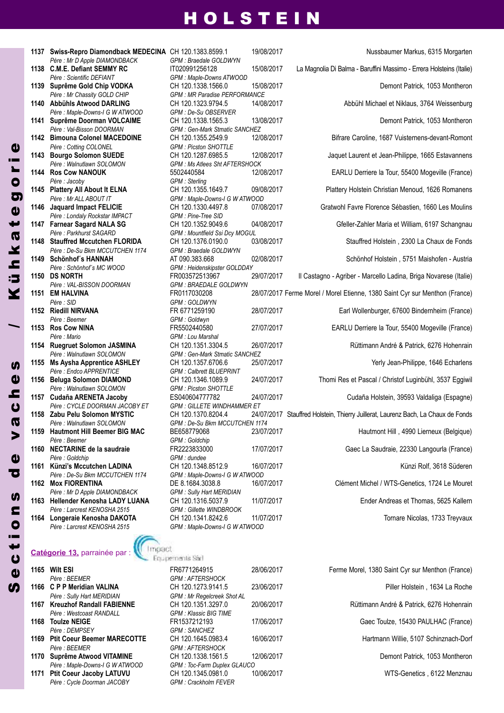| 1137 | Swiss-Repro Diamondback MEDECINA CH 120.1383.8599.1<br>Père : Mr D Apple DIAMONDBACK | GPM : Braedale GOLDWYN                        | 19/0 |
|------|--------------------------------------------------------------------------------------|-----------------------------------------------|------|
| 1138 | <b>C.M.E. Defiant SEMMY RC</b>                                                       | IT020991256128                                | 15/0 |
|      | Père : Scientific DEFIANT                                                            | GPM: Maple-Downs ATWOOD                       |      |
| 1139 | Suprême Gold Chip VODKA                                                              | CH 120.1338.1566.0                            | 15/0 |
|      | Père : Mr Chassity GOLD CHIP                                                         | <b>GPM: MR Paradise PERFORMANCE</b>           |      |
| 1140 | <b>Abbühls Atwood DARLING</b>                                                        | CH 120.1323.9794.5                            | 14/0 |
|      | Père : Maple-Downs-I G W ATWOOD                                                      | GPM : De-Su OBSERVER                          |      |
| 1141 | Suprême Doorman VOLCAIME                                                             | CH 120.1338.1565.3                            | 13/0 |
|      | Père: Val-Bisson DOORMAN                                                             | <b>GPM: Gen-Mark Stmatic SANCHEZ</b>          |      |
| 1142 | <b>Bimouna Colonel MACEDOINE</b>                                                     | CH 120.1355.2549.9                            | 12/0 |
|      | Père : Cotting COLONEL                                                               | <b>GPM: Picston SHOTTLE</b>                   |      |
| 1143 | <b>Bourgo Solomon SUEDE</b>                                                          | CH 120.1287.6985.5                            | 12/0 |
|      | Père : Walnutlawn SOLOMON                                                            | <b>GPM: Ms Atlees Sht AFTERSHOCK</b>          |      |
|      | 1144 Ros Cow NANOUK                                                                  | 5502440584                                    | 12/0 |
|      | Père : Jacoby                                                                        | GPM : Sterling                                |      |
| 1145 | <b>Plattery All About It ELNA</b>                                                    | CH 120.1355.1649.7                            | 09/0 |
|      | Père : Mr ALL ABOUT IT                                                               | GPM : Maple-Downs-I G W ATWOOD                |      |
| 1146 | <b>Jaquard Impact FELICIE</b>                                                        | CH 120.1330.4497.8                            | 07/0 |
|      | Père : Londaly Rockstar IMPACT                                                       | GPM : Pine-Tree SID                           |      |
| 1147 | <b>Farnear Sagard NALA SG</b>                                                        | CH 120.1352.9049.6                            | 04/0 |
|      | Père : Parkhurst SAGARD                                                              | <b>GPM: Mountfield Ssi Dcy MOGUL</b>          |      |
| 1148 | <b>Stauffred Mccutchen FLORIDA</b>                                                   | CH 120.1376.0190.0                            | 03/0 |
|      | Père : De-Su Bkm MCCUTCHEN 1174                                                      | GPM : Braedale GOLDWYN                        |      |
| 1149 | <b>Schönhof's HANNAH</b>                                                             | AT 090.383.668                                | 02/0 |
|      | Père : Schönhof's MC WOOD                                                            | GPM : Heidenskipster GOLDDAY                  |      |
| 1150 | <b>DS NORTH</b>                                                                      | FR003572513967                                | 29/0 |
|      | Père : VAL-BISSON DOORMAN                                                            | <b>GPM: BRAEDALE GOLDWYN</b>                  |      |
| 1151 | <b>EM HALVINA</b>                                                                    | FR0117030208                                  | 28/0 |
|      | Père : SID                                                                           | <b>GPM: GOLDWYN</b>                           |      |
| 1152 | Riedill NIRVANA                                                                      | FR 6771259190                                 | 28/0 |
|      | Père : Beemer                                                                        | GPM : Goldwyn                                 |      |
| 1153 | <b>Ros Cow NINA</b>                                                                  | FR5502440580                                  | 27/0 |
|      | Père : Mario                                                                         | <b>GPM</b> : Lou Marshal                      |      |
| 1154 | Ruegruet Solomon JASMINA                                                             | CH 120.1351.3304.5                            | 26/0 |
|      | Père : Walnutlawn SOLOMON                                                            | GPM : Gen-Mark Stmatic SANCHEZ                | 25/0 |
| 1155 | <b>Ms Aysha Apprentice ASHLEY</b>                                                    | CH 120.1357.6706.6                            |      |
|      | Père : Endco APPRENTICE                                                              | <b>GPM: Calbrett BLUEPRINT</b>                |      |
| 1156 | Beluga Solomon DIAMOND                                                               | CH 120.1346.1089.9                            | 24/0 |
|      | Père : Walnutlawn SOLOMON<br>Cudaña ARENETA Jacoby                                   | <b>GPM: Picston SHOTTLE</b><br>ES040604777782 | 24/0 |
| 1157 |                                                                                      |                                               |      |
|      | Père : CYCLE DOORMAN JACOBY ET                                                       | <b>GPM: GILLETE WINDHAMMER ET</b>             |      |
| 1158 | Zabu Pelu Solomon MYSTIC<br>Père · Walnutlawn SOI OMON                               | CH 120.1370.8204.4                            | 24/0 |
|      | <b>Hautmont Hill Beemer BIG MAC</b>                                                  | GPM : De-Su Bkm MCCUTCHEN 117                 |      |
| 1159 |                                                                                      | BE658779068                                   | 23/0 |
|      | Père : Beemer                                                                        | GPM : Goldchip                                |      |
| 1160 | NECTARINE de la saudraie                                                             | FR2223833000                                  | 17/0 |
|      | Père : Goldchip                                                                      | GPM : dundee                                  |      |
| 1161 | Künzi's Mccutchen LADINA                                                             | CH 120.1348.8512.9                            | 16/0 |
|      | Père : De-Su Bkm MCCUTCHEN 1174                                                      | GPM : Maple-Downs-I G W ATWOOD                |      |
| 1162 | <b>Mox FIORENTINA</b>                                                                | DE 8.1684.3038.8                              | 16/0 |
|      | Père : Mr D Apple DIAMONDBACK                                                        | <b>GPM: Sully Hart MERIDIAN</b>               |      |
| 1163 | Hellender Kenosha LADY LUANA                                                         | CH 120.1316.5037.9                            | 11/0 |
|      | Père: Larcrest KENOSHA 2515                                                          | <b>GPM: Gillette WINDBROOK</b>                |      |
| 1164 | Longeraie Kenosha DAKOTA                                                             | CH 120.1341.8242.6                            | 11/0 |
|      | Père : Larcrest KENOSHA 2515                                                         | GPM : Maple-Downs-I G W ATWOOD                |      |

*Père : Mr D Apple DIAMONDBACK GPM : Braedale GOLDWYN*  $GPM$  *: Maple-Downs ATWOOD Père : Mr Chassity GOLD CHIP GPM : MR Paradise PERFORMANCE Père : Maple-Downs-I G W ATWOOD GPM : De-Su OBSERVER*  $GPM$  *: Gen-Mark Stmatic SANCHEZ*  $GPM$  *: Picston SHOTTLE Père : Walnutlawn SOLOMON GPM : Ms Atlees Sht AFTERSHOCK*  $GPM$  *: Sterling*  $GPM$  *: Maple-Downs-I G W ATWOOD Père : Londaly Rockstar IMPACT GPM : Pine-Tree SID*  $GPM$  *: Mountfield Ssi Dcy MOGUL Père : De-Su Bkm MCCUTCHEN 1174 GPM : Braedale GOLDWYN Père : Schönhof´s MC WOOD GPM : Heidenskipster GOLDDAY*  $GPM$  *: BRAEDALE*  $GOLDWYN$ *Père : SID GPM : GOLDWYN Père : Beemer GPM : Goldwyn*  $GPM$  *: Lou Marshal*  $GPM$  *: Gen-Mark Stmatic SANCHEZ Père : Endco APPRENTICE GPM : Calbrett BLUEPRINT*  $GPM$  *: Picston SHOTTLE Père : CYCLE DOORMAN JACOBY ET GPM : GILLETE WINDHAMMER ET Père : Walnutlawn SOLOMON GPM : De-Su Bkm MCCUTCHEN 1174*  $GPM$  *: Goldchip* 

*Père : Goldchip GPM : dundee Père : De-Su Bkm MCCUTCHEN 1174 GPM : Maple-Downs-I G W ATWOOD*  $GPM$  *: Sully Hart MERIDIAN* **1163 Hellender Kenosha LADy LUAnA** CH 120.1316.5037.9 11/07/2017 Ender Andreas et Thomas, 5625 Kallern *Père : Larcrest KENOSHA 2515 GPM : Gillette WINDBROOK*

 **Swiss-Repro Diamondback MEDECInA** CH 120.1383.8599.1 19/08/2017 Nussbaumer Markus, 6315 Morgarten **C.M.E. Defiant SEMMy RC** IT020991256128 15/08/2017 La Magnolia Di Balma - Baruffini Massimo - Errera Holsteins (Italie) **Suprême Gold Chip VODKA** CH 120.1338.1566.0 15/08/2017 Demont Patrick, 1053 Montheron **Abbühls Atwood DARLInG** CH 120.1323.9794.5 14/08/2017 Abbühl Michael et Niklaus, 3764 Weissenburg **Suprême Doorman VOLCAIME** CH 120.1338.1565.3 13/08/2017 Demont Patrick, 1053 Montheron **Bimouna Colonel MACEDOInE** CH 120.1355.2549.9 12/08/2017 Bifrare Caroline, 1687 Vuisternens-devant-Romont **Bourgo Solomon SUEDE** CH 120.1287.6985.5 12/08/2017 Jaquet Laurent et Jean-Philippe, 1665 Estavannens **Ros Cow nAnOUK** 5502440584 12/08/2017 EARLU Derriere la Tour, 55400 Mogeville (France) **Plattery All About It ELnA** CH 120.1355.1649.7 09/08/2017 Plattery Holstein Christian Menoud, 1626 Romanens **Jaquard Impact FELICIE** CH 120.1330.4497.8 07/08/2017 Gratwohl Favre Florence Sébastien, 1660 Les Moulins **Farnear Sagard nALA SG** CH 120.1352.9049.6 04/08/2017 Gfeller-Zahler Maria et William, 6197 Schangnau CH 120.1376.0190.0 03/08/2017 Stauffred Holstein , 2300 La Chaux de Fonds<br>CPM : Bradale GOLDINAN **Schönhof´s HAnnAH** AT 090.383.668 02/08/2017 Schönhof Holstein , 5751 Maishofen - Austria **DS nORTH** FR003572513967 29/07/2017 Il Castagno - Agriber - Marcello Ladina, Briga Novarese (Italie) **EM HALVInA** FR0117030208 28/07/2017 Ferme Morel / Morel Etienne, 1380 Saint Cyr sur Menthon (France) **Riedill nIRVAnA** FR 6771259190 28/07/2017 Earl Wollenburger, 67600 Bindernheim (France) **Ros Cow nInA** FR5502440580 27/07/2017 EARLU Derriere la Tour, 55400 Mogeville (France) **Ruegruet Solomon JASMInA** CH 120.1351.3304.5 26/07/2017 Rüttimann André & Patrick, 6276 Hohenrain **Ms Aysha Apprentice ASHLEy** CH 120.1357.6706.6 25/07/2017 Yerly Jean-Philippe, 1646 Echarlens **Beluga Solomon DIAMOnD** CH 120.1346.1089.9 24/07/2017 Thomi Res et Pascal / Christof Luginbühl, 3537 Eggiwil **Cudaña AREnETA Jacoby** ES040604777782 24/07/2017 Cudaña Holstein, 39593 Valdaliga (Espagne) **zabu Pelu Solomon MySTIC** CH 120.1370.8204.4 24/07/2017 Stauffred Holstein, Thierry Juillerat, Laurenz Bach, La Chaux de Fonds **Hautmont Hill Beemer BIG MAC** BE658779068 23/07/2017 Hautmont Hill , 4990 Lierneux (Belgique) **nECTARInE de la saudraie** FR2223833000 17/07/2017 Gaec La Saudraie, 22330 Langourla (France) **Künzi's Mccutchen LADInA** CH 120.1348.8512.9 16/07/2017 Künzi Rolf, 3618 Süderen **16/07/2017** 16/07/2017 Clément Michel / WTS-Genetics, 1724 Le Mouret

**1164 Longeraie Kenosha DAKOTA** CH 120.1341.8242.6 11/07/2017 Tornare Nicolas, 1733 Treyvaux

#### **Catégorie 13,** parrainée par :

**S**  $\mathbf{d}$  $\boldsymbol{\mathsf{U}}$ 

t i o

n**un** 

de

v $\boldsymbol{\varpi}$  $\overline{c}$ he**un** 

/

Kühkat $\boldsymbol{\omega}$ gor

d)

| 1165 | <b>Wilt ESI</b>                    | FR6771264915                      | 28/06/2017 |
|------|------------------------------------|-----------------------------------|------------|
|      | Père : BEEMER                      | <b>GPM: AFTERSHOCK</b>            |            |
|      | 1166 C P P Meridian VALINA         | CH 120.1273.9141.5                | 23/06/2017 |
|      | Père : Sully Hart MERIDIAN         | <b>GPM: Mr Regelcreek Shot AL</b> |            |
|      | 1167 Kreuzhof Randall FABIENNE     | CH 120.1351.3297.0                | 20/06/2017 |
|      | Père: Westcoast RANDALL            | <b>GPM: Klassic BIG TIME</b>      |            |
|      | 1168 Toulze NEIGE                  | FR1537212193                      | 17/06/2017 |
|      | Père : DEMPSEY                     | <b>GPM: SANCHEZ</b>               |            |
| 1169 | <b>Ptit Coeur Beemer MARECOTTE</b> | CH 120.1645.0983.4                | 16/06/2017 |
|      | Père : BEEMER                      | <b>GPM: AFTERSHOCK</b>            |            |
|      | 1170 Suprême Atwood VITAMINE       | CH 120.1338.1561.5                | 12/06/2017 |
|      | Père : Maple-Downs-I G W ATWOOD    | GPM: Toc-Farm Duplex GLAUCO       |            |
|      | 1171 Ptit Coeur Jacoby LATUVU      | CH 120.1345.0981.0                | 10/06/2017 |
|      | Père : Cycle Doorman JACOBY        | <b>GPM: Crackholm FEVER</b>       |            |

Equipements Sarl  $GPM$  *: AFTERSHOCK Père : Sully Hart MERIDIAN GPM : Mr Regelcreek Shot AL*  $GPM$  *: Klassic BIG TIME*  $GPM$  *: SANCHEZ* 

Impact

 **Wilt ESI** FR6771264915 28/06/2017 Ferme Morel, 1380 Saint Cyr sur Menthon (France) **C P P Meridian VALInA** CH 120.1273.9141.5 23/06/2017 Piller Holstein , 1634 La Roche **Kreuzhof Randall FABIEnnE** CH 120.1351.3297.0 20/06/2017 Rüttimann André & Patrick, 6276 Hohenrain **Toulze nEIGE** FR1537212193 17/06/2017 Gaec Toulze, 15430 PAULHAC (France) **Ptit Coeur Beemer MARECOTTE** CH 120.1645.0983.4 16/06/2017 Hartmann Willie, 5107 Schinznach-Dorf **Suprême Atwood VITAMInE** CH 120.1338.1561.5 12/06/2017 Demont Patrick, 1053 Montheron

**1111 CH 120.1345.0981.0** 10/06/2017 **Philosophermic CH 120.1345.0981.0** 10/06/2017 WTS-Genetics , 6122 Menznau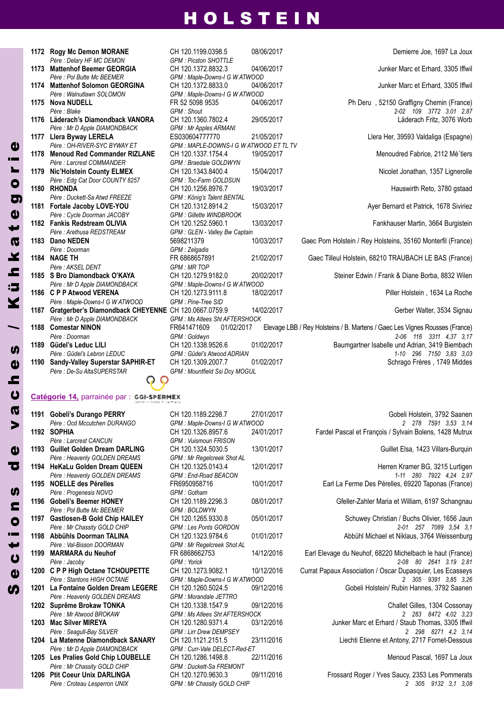|      | 1172 Rogy Mc Demon MORANE                            | CH 120.1199.0398.5                   | 08/0 |
|------|------------------------------------------------------|--------------------------------------|------|
|      | Père : Delary HF MC DEMON                            | <b>GPM: Picston SHOTTLE</b>          |      |
| 1173 | <b>Mattenhof Beemer GEORGIA</b>                      | CH 120.1372.8832.3                   | 04/0 |
|      | Père : Pol Butte Mc BEEMER                           | GPM : Maple-Downs-I G W ATWOOD       |      |
| 1174 | <b>Mattenhof Solomon GEORGINA</b>                    | CH 120.1372.8833.0                   | 04/0 |
|      | Père : Walnutlawn SOLOMON                            | GPM : Maple-Downs-I G W ATWOOD       |      |
| 1175 | <b>Nova NUDELL</b>                                   | FR 52 5098 9535                      | 04/0 |
|      | Père : Blake                                         | <b>GPM</b> : Shout                   |      |
| 1176 | Läderach's Diamondback VANORA                        | CH 120.1360.7802.4                   | 29/0 |
|      | Père : Mr D Apple DIAMONDBACK                        | <b>GPM: Mr Apples ARMANI</b>         |      |
|      | 1177 Llera Byway LERELA                              | ES030604777770                       | 21/0 |
|      | Père : OH-RIVER-SYC BYWAY ET                         | GPM: MAPLE-DOWNS-I G W ATWO          |      |
| 1178 | <b>Menoud Red Commander RIZLANE</b>                  | CH 120.1337.1754.4                   | 19/0 |
|      | Père : Larcrest COMMANDER                            | GPM : Braedale GOLDWYN               |      |
| 1179 | Nic'Holstein County ELMEX                            | CH 120.1343.8400.4                   | 15/0 |
|      | Père : Edg Cat Door COUNTY 8257                      | GPM: Toc-Farm GOLDSUN                |      |
| 1180 | <b>RHONDA</b>                                        | CH 120.1256.8976.7                   | 19/0 |
|      | Père : Duckett-Sa Atwd FREEZE                        | GPM : König's Talent BENTAL          |      |
| 1181 | Fortale Jacoby LOVE-YOU                              | CH 120.1312.8914.2                   | 15/0 |
|      | Père : Cycle Doorman JACOBY                          | <b>GPM: Gillette WINDBROOK</b>       |      |
| 1182 | <b>Fankis Redstream OLIVIA</b>                       | CH 120.1252.5960.1                   | 13/0 |
|      | Père : Arethusa REDSTREAM                            | GPM : GLEN - Valley Bw Captain       |      |
| 1183 | Dano NEDEN                                           | 5698211379                           | 10/0 |
|      | Père : Doorman                                       | GPM : Zelgadis                       |      |
| 1184 | <b>NAGE TH</b>                                       | FR 6868657891                        | 21/0 |
|      | Père : AKSEL DENT                                    | <b>GPM: MR TOP</b>                   |      |
| 1185 | S Bro Diamondback O'KAYA                             | CH 120.1279.9182.0                   | 20/0 |
|      | Père : Mr D Apple DIAMONDBACK                        | GPM : Maple-Downs-I G W ATWOOD       |      |
| 1186 | <b>C P P Atwood VERENA</b>                           | CH 120.1273.9111.8                   | 18/0 |
|      | Père : Maple-Downs-I G W ATWOOD                      | GPM : Pine-Tree SID                  |      |
| 1187 | Gratgerber's Diamondback CHEYENNE CH 120.0667.0759.9 |                                      | 14/0 |
|      | Père : Mr D Apple DIAMONDBACK                        | <b>GPM: Ms Atlees Sht AFTERSHOCK</b> |      |
| 1188 | <b>Comestar NINON</b>                                | FR641471609<br>01/02/2017            |      |
|      | Père : Doorman                                       | GPM: Goldwyn                         |      |
| 1189 | Güdel's Leduc LILI                                   | CH 120.1338.9526.6                   | 01/0 |
|      | Père : Güdel's Lebron LEDUC                          | GPM: Güdel's Atwood ADRIAN           |      |
| 1190 | Sandy-Valley Superstar SAPHIR-ET                     | CH 120.1309.2007.7                   | 01/0 |
|      | Père: De-Su AltaSUPERSTAR                            | <b>GPM: Mountfield Ssi Dcy MOGUL</b> |      |
|      |                                                      |                                      |      |
|      | Catégorie 14. parrainée par : GGI-SPERMEX            |                                      |      |
|      |                                                      |                                      |      |

| <b>Rogy Mc Demon MORANE</b>                          | CH 120.1199.0398.5                      | 08/06/2017 | Demierre Joe, 1697 La Joux                                                  |
|------------------------------------------------------|-----------------------------------------|------------|-----------------------------------------------------------------------------|
| Père : Delary HF MC DEMON                            | <b>GPM: Picston SHOTTLE</b>             |            |                                                                             |
| <b>Mattenhof Beemer GEORGIA</b>                      | CH 120.1372.8832.3                      | 04/06/2017 | Junker Marc et Erhard, 3305 Iffwil                                          |
| Père : Pol Butte Mc BEEMER                           | GPM : Maple-Downs-I G W ATWOOD          |            |                                                                             |
| <b>Mattenhof Solomon GEORGINA</b>                    | CH 120.1372.8833.0                      | 04/06/2017 | Junker Marc et Erhard, 3305 Iffwil                                          |
| Père : Walnutlawn SOLOMON                            | GPM : Maple-Downs-I G W ATWOOD          |            |                                                                             |
| <b>Nova NUDELL</b>                                   | FR 52 5098 9535                         | 04/06/2017 | Ph Deru, 52150 Graffigny Chemin (France)                                    |
| Père : Blake                                         | GPM : Shout                             |            | 2-02 109 3772 3.01 2.87                                                     |
| Läderach's Diamondback VANORA                        | CH 120.1360.7802.4                      | 29/05/2017 | Läderach Fritz, 3076 Worb                                                   |
| Père : Mr D Apple DIAMONDBACK                        | <b>GPM: Mr Apples ARMANI</b>            |            |                                                                             |
| Llera Byway LERELA                                   | ES030604777770                          | 21/05/2017 | Llera Her, 39593 Valdaliga (Espagne)                                        |
| Père : OH-RIVER-SYC BYWAY ET                         | GPM : MAPLE-DOWNS-I G W ATWOOD ET TL TV |            |                                                                             |
| <b>Menoud Red Commander RIZLANE</b>                  | CH 120.1337.1754.4                      | 19/05/2017 | Menoudred Fabrice, 2112 Mé'tiers                                            |
| Père : Larcrest COMMANDER                            | GPM : Braedale GOLDWYN                  |            |                                                                             |
| Nic'Holstein County ELMEX                            | CH 120.1343.8400.4                      | 15/04/2017 | Nicolet Jonathan, 1357 Lignerolle                                           |
| Père: Edg Cat Door COUNTY 8257                       | GPM: Toc-Farm GOLDSUN                   |            |                                                                             |
| <b>RHONDA</b>                                        | CH 120.1256.8976.7                      | 19/03/2017 | Hauswirth Reto, 3780 gstaad                                                 |
| Père : Duckett-Sa Atwd FREEZE                        | GPM : König's Talent BENTAL             |            |                                                                             |
| Fortale Jacoby LOVE-YOU                              | CH 120.1312.8914.2                      | 15/03/2017 | Ayer Bernard et Patrick, 1678 Siviriez                                      |
| Père : Cycle Doorman JACOBY                          | <b>GPM: Gillette WINDBROOK</b>          |            |                                                                             |
| <b>Fankis Redstream OLIVIA</b>                       | CH 120.1252.5960.1                      | 13/03/2017 | Fankhauser Martin, 3664 Burgistein                                          |
| Père : Arethusa REDSTREAM                            | GPM : GLEN - Valley Bw Captain          |            |                                                                             |
| Dano NEDEN                                           | 5698211379                              | 10/03/2017 | Gaec Pom Holstein / Rey Holsteins, 35160 Monterfil (France)                 |
| Père : Doorman                                       | GPM : Zelgadis                          |            |                                                                             |
| <b>NAGE TH</b>                                       | FR 6868657891                           | 21/02/2017 | Gaec Tilleul Holstein, 68210 TRAUBACH LE BAS (France)                       |
| Père : AKSEL DENT                                    | <b>GPM: MR TOP</b>                      |            |                                                                             |
| S Bro Diamondback O'KAYA                             | CH 120.1279.9182.0                      | 20/02/2017 | Steiner Edwin / Frank & Diane Borba, 8832 Wilen                             |
| Père : Mr D Apple DIAMONDBACK                        | GPM : Maple-Downs-I G W ATWOOD          |            |                                                                             |
| <b>C P P Atwood VERENA</b>                           | CH 120.1273.9111.8                      | 18/02/2017 | Piller Holstein, 1634 La Roche                                              |
| Père : Maple-Downs-I G W ATWOOD                      | GPM : Pine-Tree SID                     |            |                                                                             |
| Gratgerber's Diamondback CHEYENNE CH 120.0667.0759.9 |                                         | 14/02/2017 | Gerber Walter, 3534 Signau                                                  |
| Père : Mr D Apple DIAMONDBACK                        | <b>GPM: Ms Atlees Sht AFTERSHOCK</b>    |            |                                                                             |
| <b>Comestar NINON</b>                                | 01/02/2017<br>FR641471609               |            | Elevage LBB / Rey Holsteins / B. Martens / Gaec Les Vignes Rousses (France) |
| Père : Doorman                                       | GPM: Goldwyn                            |            | 2-06 116 3311 4,37 3,17                                                     |
| Güdel's Leduc LILI                                   | CH 120.1338.9526.6                      | 01/02/2017 | Baumgartner Isabelle und Adrian, 3419 Biembach                              |
| Père : Güdel's Lebron LEDUC                          | <b>GPM: Güdel's Atwood ADRIAN</b>       |            | 1-10 296 7150 3.83 3.03                                                     |
| Sandy-Valley Superstar SAPHIR-ET                     | CH 120.1309.2007.7                      | 01/02/2017 | Schrago Frères, 1749 Middes                                                 |
| Père : De-Su AltaSUPERSTAR                           | GPM: Mountfield Ssi Dcy MOGUL           |            |                                                                             |

#### **SPERMEX Catégorie 14,** parrainée par :

| 1191 | <b>Gobeli's Durango PERRY</b>       |
|------|-------------------------------------|
|      | Père: Ocd Mccutchen DURANGO         |
| 1192 | <b>SOPHIA</b>                       |
|      | Père : Larcrest CANCUN              |
| 1193 | <b>Guillet Golden Dream DARLING</b> |
|      | Père : Heavenly GOLDEN DREAMS       |
| 1194 | <b>HeKaLu Golden Dream QUEEN</b>    |
|      | Père : Heavenly GOLDEN DREAMS       |
| 1195 | <b>NOELLE des Pérelles</b>          |
|      | Père : Progenesis NOVO              |
| 1196 | <b>Gobeli's Beemer HONEY</b>        |
|      | Père · Pol Butte Mc BFFMFR          |
| 1197 | <b>Gastlosen-B Gold Chip HAILEY</b> |
|      | Père : Mr Chassity GOLD CHIP        |
| 1198 | Abbühls Doorman TALINA              |
|      | Père: Val-Bisson DOORMAN            |
| 1199 | <b>MARMARA du Neuhof</b>            |
|      | Père : Jacoby                       |
| 1200 | C P P High Octane TCHOUPETTE        |
|      | Père · Stantons HIGH OCTANE         |
| 1201 | La Fontaine Golden Dream LEGEI      |
|      | Père : Heavenly GOLDEN DREAMS       |
| 1202 | Suprême Brokaw TONKA                |
|      | Père: Mr Atwood BROKAW              |
| 1203 | <b>Mac Silver MIREYA</b>            |
|      | Père : Seagull-Bay SILVER           |
| 1204 | La Matenne Diamondback SANAR        |
|      | Père : Mr D Apple DIAMONDBACK       |
| 1205 | Les Pralies Gold Chip LOUBELLE      |
|      | Père : Mr Chassity GOLD CHIP        |
| 1206 | <b>Ptit Coeur Unix DARLINGA</b>     |

Se $\boldsymbol{\mathsf{U}}$ 

t i o

ns

dd)

v**a**  $\overline{c}$ **h**  $\boldsymbol{\omega}$ s

/

Kühk $\boldsymbol{\omega}$ t $\mathbf{d}$  $\overline{\mathbf{c}}$ or

 $\mathbf a$ 

*Père : Larcrest CANCUN GPM : Vuismoun FRISON* **1193 Guillet Golden Dream DARLInG** CH 120.1324.5030.5 13/01/2017 Guillet Elsa, 1423 Villars-Burquin  $GPM$  *: Mr Regelcreek Shot AL Père : Progenesis NOVO GPM : Gotham Père : Pol Butte Mc BEEMER GPM : BOLDWYN Père : Val-Bisson DOORMAN GPM : Mr Regelcreek Shot AL Père : Heavenly GOLDEN DREAMS GPM : Morandale JETTRO Père : Mr D Apple DIAMONDBACK GPM : Curr-Vale DELECT-Red-ET* **1205 Les Pralies Gold Chip LOUBELLE** CH 120.1286.1498.8 22/11/2016 Menoud Pascal, 1697 La Joux *Père : Mr Chassity GOLD CHIP GPM : Duckett-Sa FREMONT Père : Croteau Lesperron UNIX GPM : Mr Chassity GOLD CHIP 2 305 9132 3,1 3,08*

**1191 Gobeli's Durango PERRy** CH 120.1189.2298.7 27/01/2017 Gobeli Holstein, 3792 Saanen *Père : Ocd Mccutchen DURANGO GPM : Maple-Downs-I G W ATWOOD 2 278 7591 3,53 3,14* **1192 SOPHIA** CH 120.1326.8957.6 24/01/2017 Fardel Pascal et François / Sylvain Bolens, 1428 Mutrux

**1194 HeKaLu Golden Dream QUEEn** CH 120.1325.0143.4 12/01/2017 Herren Kramer BG, 3215 Lurtigen *Père : Heavenly GOLDEN DREAMS GPM : End-Road BEACON 1-11 280 7922 4,24 2,97* **1195 nOELLE des Pérelles** FR6950958716 10/01/2017 Earl La Ferme Des Pérelles, 69220 Taponas (France)

**1196 Gobeli's Beemer HOnEy** CH 120.1189.2296.3 08/01/2017 Gfeller-Zahler Maria et William, 6197 Schangnau

**1197 Gastlosen-B Gold Chip HAILEy** CH 120.1265.9330.8 05/01/2017 Schuwey Christian / Buchs Olivier, 1656 Jaun *Père : Mr Chassity GOLD CHIP GPM : Les Ponts GORDON 2-01 257 7089 3,54 3,1* **1198 Abbühls Doorman TALInA** CH 120.1323.9784.6 01/01/2017 Abbühl Michael et Niklaus, 3764 Weissenburg

**1199 MARMARA du neuhof** FR 6868662753 14/12/2016 Earl Elevage du Neuhof, 68220 Michelbach le haut (France) *Père : Jacoby GPM : Yorick 2-08 80 2641 3.19 2.81* **1200 C P P High Octane TCHOUPETTE** CH 120.1273.9082.1 10/12/2016 Currat Papaux Association / Oscar Dupasquier, Les Ecasseys *Père : Stantons HIGH OCTANE GPM : Maple-Downs-I G W ATWOOD 2 305 9391 3,85 3,26* **1201 La Fontaine Golden Dream LEGERE** CH 120.1260.5024.5 09/12/2016 Gobeli Holstein/ Rubin Hannes, 3792 Saanen

**1202 Suprême Brokaw TOnKA** CH 120.1338.1547.9 09/12/2016 Challet Gilles, 1304 Cossonay *Père : Mr Atwood BROKAW GPM : Ms Atlees Sht AFTERSHOCK 2 283 8472 4,02 3,23* **1203 Mac Silver MIREyA** CH 120.1280.9371.4 03/12/2016 Junker Marc et Erhard / Staub Thomas, 3305 Iffwil *Père : Seagull-Bay SILVER GPM : Lirr Drew DEMPSEY 2 298 8271 4,2 3,14* **1204 CH 120.1121.2151.5** 23/11/2016 Liechti Etienne et Antony, 2717 Fornet-Dessous

**120.1270.9630.3** 09/11/2016 Frossard Roger / Yves Saucy, 2353 Les Pommerats<br>
GPM: Mr Chassity GOLD CHIP<br>
2 3.08 9132 3.1 3.08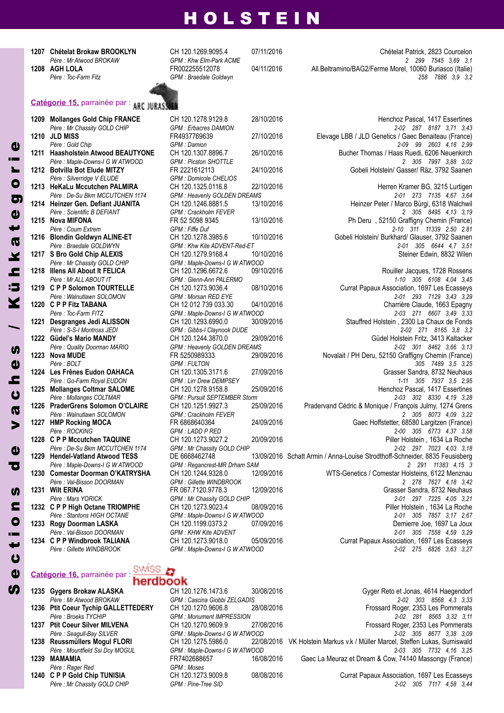*Père : Mr Atwood BROKAW GPM : Khw Elm-Park ACME 2 299 7545 3,69 3,1*

#### **Catégorie 15,** parrainée par :

*Père : Silverridge V ELUDE GPM : Domicole CHELIOS* **1217 S Bro Gold Chip ALEXIS** *Père : Quality Doorman MARIO GPM : Heavenly GOLDEN DREAMS* **1223 Nova MUDE** *29/0223* **3/46 1224 Les Frênes Eudon OAHACA**  $P\text{ère : Walnutlawn SOLOMON}$ **1228 C P P Mccutchen TAQUINE 1232 C P P High Octane TRIOMPHE 1233 Rogy Doorman LASKA**<br>*Père : Val-Bisson DOORMAN* 

#### **Catégorie 16,** parrainée par :

swiss

herdbook

- 
- 
- 
- 

**1207 Chételat Brokaw BROOKLyn** CH 120.1269.9095.4 07/11/2016 Chételat Patrick, 2823 Courcelon **1208 AGH LOLA** FR002255512078 04/11/2016 All.Beltramino/BAG2/Ferme Morel, 10060 Buriasco (Italie) *Père : Toc-Farm Fitz GPM : Braedale Goldwyn 258 7886 3,9 3,2*

*Père : Mr Chassity GOLD CHIP GPM : Erbacres DAMION 2-02 287 8187 3,71 3,43* 1213 **HeKaLu Mccutchen PALMIRA** CH 120.1325.0116.8 22/10/2016 **CH** Herren Kramer BG, 3215 Lurtigen *Père : Mr Chassity GOLD CHIP GPM : Maple-Downs-I G W ATWOOD Père : S-S-I Montross JEDI GPM : Gibbs-I Claynook DUDE 2-02 271 8165 3,8 3,2 Père : Mollanges COLTMAR GPM : Pursuit SEPTEMBER Storm*<br>**1226 PraderGrens Solomon O'CLAIRE CH 120.1251.9927.3** 25/09/2016

**1209 Mollanges Gold Chip FRANCE** CH 120.1278.9129.8 28/10/2016 Henchoz Pascal, 1417 Essertines<br>Pere : Mr Chassity GOLD CHIP GPM : Erbacres DAMION 2-02 287 8187 3.71 3.43 **1210 JLD MISS** FR4937769639 27/10/2016 Elevage LBB / JLD Genetics / Gaec Benaiteau (France) *Père : Gold Chip GPM : Damion 2-09 99 2603 4,18 2,99* **Bucher Thomas / Haas Ruedi, 6206 Neuenkirch** *Père : Maple-Downs-I G W ATWOOD GPM : Picston SHOTTLE 2 305 7997 3,88 3,02* **1212 Botvilla Bot Elude MITzy** FR 2221612113 24/10/2016 Gobeli Holstein/ Gasser/ Räz, 3792 Saanen

*Père : De-Su Bkm MCCUTCHEN 1174 GPM : Heavenly GOLDEN DREAMS 2-01 273 7135 4,67 3,64* **1214 Heinzer Gen. Defiant JUAnITA** CH 120.1246.8881.5 13/10/2016 Heinzer Peter / Marco Bürgi, 6318 Walchwil *Père : Scientific B DEFIANT GPM : Crackholm FEVER 2 305 8495 4,13 3,19* **13/10/2016 13/10 Ph Deru** , 52150 Graffigny Chemin (France)<br>
GPM Fiffe Duf **Ph Deru** , 52150 GPM 11339 250 281 *Père : Coum Extrem GPM : Fiffe Duf 2-10 311 11339 2.50 2.81* **1216 Blondin Goldwyn ALINE-ET** CH 120.1278.3985.6 10/10/2016 Gobeli Holstein/ Burkhard/ Glauser, 3792 Saanen<br>1.5.17 Père : Braedale GOLDWYN Gram CHN : Khw Kite ADVENT-Red-ET *Père : Braedale GOLDWYN GPM : Khw Kite ADVENT-Red-ET 2-01 305 6644 4,7 3,51*

**1218 Illens All About It FELICA** CH 120.1296.6672.6 09/10/2016 Rouiller Jacques, 1728 Rossens *Père : Mr ALL ABOUT IT GPM : Glenn-Ann PALERMO 1-10 305 6108 4,04 3,45* **1219 Currat Papaux Association, 1697 Les Ecasseys** *Père : Walnutlawn SOLOMON GPM : Morsan RED EYE 2-01 293 7129 3,43 3,29* **1220 C P P Fitz TABAnA** CH 12 012 739 033.30 04/10/2016 Charrière Claude, 1663 Epagny *Père : Toc-Farm FITZ GPM : Maple-Downs-I G W ATWOOD 2-03 271 6607 3,49 3,33* **1201 1221 1221 1231 1241 120 1293.6990.0 30/09/2016 Stauffred Holstein , 2300 La Chaux de Fonds<br>132 123 1240 1242 Père : S-S-I Montross JEDI 1222 Güdel's Mario MANDY** CH 120.1244.3870.0 29/09/2016 CH Pere : Quality Doorman MARIO<br>Père : Quality Doorman MARIO GPM : Heavenly GOLDEN DREAMS **1223 nova MUDE** FR 5250989333 29/09/2016 Novalait / PH Deru, 52150 Graffigny Chemin (France) *Père : BOLT GPM : FULTON 305 7489 3,5 3,25 Père : Go-Farm Royal EUDON GPM : Lirr Drew DEMPSEY 1-11 305 7937 3,5 2,95* **1225 Mollanges Coltmar SALOME** CH 120.1278.9158.8 25/09/2016 Henchoz Pascal, 1417 Essertines<br>*12.03* Pere : Mollanges COLTMAR GPM : Pursuit SEPTEMBER Storm **COLTMAR** 2-03 302 8330 4.19 3.28 **1226 PraderGrens Solomon O'CLAIRE** CH 120.1251.9927.3 25/09/2016 Pradervand Cédric & Monique / François Julmy, 1274 Grens **1227 <b>HMP** Rocking MOCA FR 6868640364 24/09/2016 Gaec Hoffstetter, 68580 Largitzen (France)<br>Pers : ROCKING 2-00 AUG GPM LADD P RED *Père : ROCKING GPM : LADD P RED 2-00 305 6773 4.37 3.58 Père : De-Su Bkm MCCUTCHEN 1174 GPM : Mr Chassity GOLD CHIP 2-02 297 7023 4,03 3,18* **1229 Hendel-Vatland Atwood TESS** DE 6668462748 13/09/2016 Schatt Armin / Anna-Louise Strodthoff-Schneider, 8835 Feusisberg *Père : Maple-Downs-I G W ATWOOD GPM : Regancrest-MR Drham SAM 2 291 11383 4,15 3* **1230 Comestar Doorman O'KATRySHA** CH 120.1244.9328.0 12/09/2016 WTS-Genetics / Comestar Holsteins, 6122 Menznau *Père : Val-Bisson DOORMAN GPM : Gillette WINDBROOK 2 278 7627 4,18 3,42* **1231 Wilt ERINA** FR 067.7120.9778.3 12/09/2016 Grasser Sandra, 8732 Neuhaus<br>Père : Mars YORICK GPM : Mr Chassity GOLD CHIP **GPM** 1200 THE 2-01 297 7225 4.05 3.21 *Père : Mars YORICK GPM : Mr Chassity GOLD CHIP 2-01 297 7225 4,05 3,21 Père : Stantons HIGH OCTANE GPM : Maple-Downs-I G W ATWOOD 2-01 305 7857 3,17 2,67 Père : Val-Bisson DOORMAN GPM : KHW Kite ADVENT 2-01 305 7558 4,59 3,29* **1234 C P P Windbrook TALIAnA** CH 120.1273.9018.0 05/09/2016 Currat Papaux Association, 1697 Les Ecasseys *Père : Gillette WINDBROOK GPM : Maple-Downs-I G W ATWOOD 2-02 275 6826 3,63 3,27*

*Père : Mountfield Ssi Dcy MOGUL GPM : Maple-Downs-I G W ATWOOD 2-03 305 7732 4,16 3,25 Père : Rager Red GPM : Moses*

**1235 Gygers Brokaw ALASKA** CH 120.1276.1473.6 30/08/2016 Gyger Reto et Jonas, 4614 Haegendorf<br>Pere : Mr Atwood BROKAW GPM: Cascina Giobbi ZELGADIS *Père : Mr Atwood BROKAW GPM : Cascina Giobbi ZELGADIS 2-02 303 8568 4,3 3,33* **1236 Ptit Coeur Tychip GALLETTEDERy** CH 120.1270.9606.8 28/08/2016 Frossard Roger, 2353 Les Pommerats *Père : Broeks TYCHIP GPM : Monument IMPRESSION 2-02 281 8565 3,32 3,11* **1237 Ptit Coeur Silver MILVEnA** CH 120.1270.9609.9 27/08/2016 Frossard Roger, 2353 Les Pommerats *Père : Seagull-Bay SILVER GPM : Maple-Downs-I G W ATWOOD 2-02 305 8677 3,38 3,09* **1238 Reussmüllers Mogul FLORI** CH 120.1275.5986.0 22/08/2016 VK Holstein Markus v.k / Müller Marcel, Steffen Lukas, Sumiswald **1239 MAMAMIA** FR7402688657 16/08/2016 Gaec La Meuraz et Dream & Cow, 74140 Massongy (France)

**124008/2016 Currat Papaux Association, 1697 Les Ecasseys** *Père : Mr Chassity GOLD CHIP GPM : Pine-Tree SID 2-02 305 7117 4,58 3,44*

 $\overline{c}$ t $\bullet$  $\blacksquare$ **S TO**  $\mathbf{a}$ v $\overline{\mathbf{Q}}$  $\overline{c}$ h $\mathbf{d}$ **SP** / Kü $\epsilon$ k $\boldsymbol{\sigma}$ t $\mathbf{d}$  $\overline{\mathbf{o}}$ 

or

 $\mathbf a$ 

 $\boldsymbol{\omega}$  $\mathbf{a}$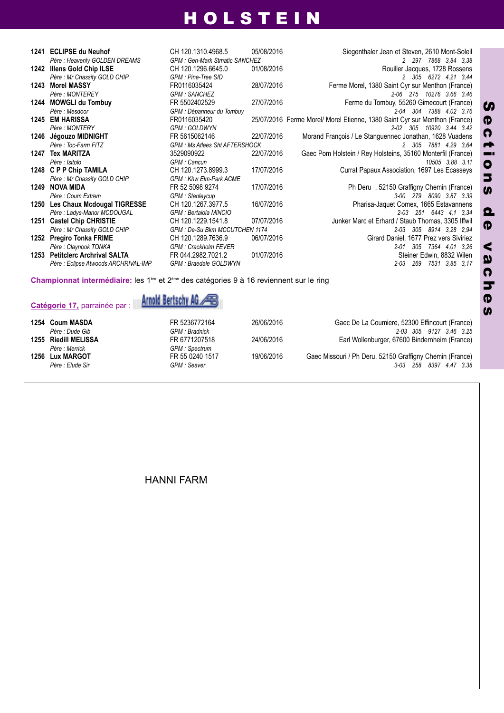|      | 1241 ECLIPSE du Neuhof                                                                                           | CH 120.1310.4968.5                   | 05/08/2016 | Siegenthaler Jean et Steven, 2610 Mont-Soleil                              |  |  |
|------|------------------------------------------------------------------------------------------------------------------|--------------------------------------|------------|----------------------------------------------------------------------------|--|--|
|      | Père : Heavenly GOLDEN DREAMS                                                                                    | <b>GPM: Gen-Mark Stmatic SANCHEZ</b> |            | 2 297 7868 3.84 3.38                                                       |  |  |
|      | 1242 Illens Gold Chip ILSE                                                                                       | CH 120.1296.6645.0                   | 01/08/2016 | Rouiller Jacques, 1728 Rossens                                             |  |  |
|      | Père : Mr Chassity GOLD CHIP                                                                                     | GPM : Pine-Tree SID                  |            | 2 305 6272 4.21 3.44                                                       |  |  |
|      | 1243 Morel MASSY                                                                                                 | FR0116035424                         | 28/07/2016 | Ferme Morel, 1380 Saint Cyr sur Menthon (France)                           |  |  |
|      | Père : MONTEREY                                                                                                  | <b>GPM: SANCHEZ</b>                  |            | 2-06 275 10276 3.66 3.46                                                   |  |  |
|      | 1244 MOWGLI du Tombuy                                                                                            | FR 5502402529                        | 27/07/2016 | Ferme du Tombuy, 55260 Gimecourt (France)                                  |  |  |
|      | Père : Mesdoor                                                                                                   | GPM : Dépanneur du Tombuy            |            | 2-04 304 7388 4.02 3.76                                                    |  |  |
| 1245 | <b>EM HARISSA</b>                                                                                                | FR0116035420                         |            | 25/07/2016 Ferme Morel/ Morel Etienne, 1380 Saint Cyr sur Menthon (France) |  |  |
|      | Père: MONTERY                                                                                                    | <b>GPM: GOLDWYN</b>                  |            | $2-02$ 305<br>10920 3.44 3.42                                              |  |  |
|      | 1246 Jégouzo MIDNIGHT                                                                                            | FR 5615062146                        | 22/07/2016 | Morand François / Le Stanguennec Jonathan, 1628 Vuadens                    |  |  |
|      | Père: Toc-Farm FITZ                                                                                              | <b>GPM: Ms Atlees Sht AFTERSHOCK</b> |            | 2 305 7881 4.29 3.64                                                       |  |  |
| 1247 | <b>Tex MARITZA</b>                                                                                               | 3529090922                           | 22/07/2016 | Gaec Pom Holstein / Rey Holsteins, 35160 Monterfil (France)                |  |  |
|      | Père : Isitolo                                                                                                   | GPM : Cancun                         |            | 10505 3.88 3.11                                                            |  |  |
|      | 1248 C P P Chip TAMILA                                                                                           | CH 120.1273.8999.3                   | 17/07/2016 | Currat Papaux Association, 1697 Les Ecasseys                               |  |  |
|      | Père : Mr Chassity GOLD CHIP                                                                                     | <b>GPM: Khw Elm-Park ACME</b>        |            |                                                                            |  |  |
|      | 1249 NOVA MIDA                                                                                                   | FR 52 5098 9274                      | 17/07/2016 | Ph Deru, 52150 Graffigny Chemin (France)                                   |  |  |
|      | Père : Coum Extrem                                                                                               | <b>GPM: Stanleycup</b>               |            | 3-00 279 8090 3.87 3.39                                                    |  |  |
|      | 1250 Les Chaux Mcdougal TIGRESSE                                                                                 | CH 120.1267.3977.5                   | 16/07/2016 | Pharisa-Jaquet Comex, 1665 Estavannens                                     |  |  |
|      | Père : Ladys-Manor MCDOUGAL                                                                                      | GPM : Bertaiola MINCIO               |            | 2-03 251 6443 4.1 3.34                                                     |  |  |
| 1251 | <b>Castel Chip CHRISTIE</b>                                                                                      | CH 120.1229.1541.8                   | 07/07/2016 | Junker Marc et Erhard / Staub Thomas, 3305 Iffwil                          |  |  |
|      | Père : Mr Chassity GOLD CHIP                                                                                     | GPM : De-Su Bkm MCCUTCHEN 1174       |            | 2-03 305 8914 3.28 2.94                                                    |  |  |
|      | 1252 Pregiro Tonka FRIME                                                                                         | CH 120.1289.7636.9                   | 06/07/2016 | Girard Daniel, 1677 Prez vers Siviriez                                     |  |  |
|      | Père : Claynook TONKA                                                                                            | <b>GPM: Crackholm FEVER</b>          |            | 305 7364 4.01 3.26<br>2-01                                                 |  |  |
|      | 1253 Petitclerc Archrival SALTA                                                                                  | FR 044.2982.7021.2                   | 01/07/2016 | Steiner Edwin, 8832 Wilen                                                  |  |  |
|      | Père : Eclipse Atwoods ARCHRIVAL-IMP                                                                             | GPM : Braedale GOLDWYN               |            | $2 - 03$<br>269<br>7531 3,85 3,17                                          |  |  |
|      | Championnat intermédiaire: les 1 <sup>ère</sup> et 2 <sup>ère</sup> des catégories 9 à 16 reviennent sur le ring |                                      |            |                                                                            |  |  |



| 1254 Coum MASDA      | FR 5236772164         | 26/06/2016 | Gaec De La Coumiere, 52300 Effincourt (France)           |
|----------------------|-----------------------|------------|----------------------------------------------------------|
| Père : Dude Gib      | <b>GPM</b> : Bradnick |            | 2-03 305 9127 3.46 3.25                                  |
| 1255 Riedill MELISSA | FR 6771207518         | 24/06/2016 | Earl Wollenburger, 67600 Bindernheim (France)            |
| Père : Merrick       | <b>GPM: Spectrum</b>  |            |                                                          |
| 1256 Lux MARGOT      | FR 55 0240 1517       | 19/06/2016 | Gaec Missouri / Ph Deru, 52150 Graffigny Chemin (France) |
| Père : Elude Sir     | GPM : Seaver          |            | 3-03 258 8397 4.47 3.38                                  |

HANNI FARM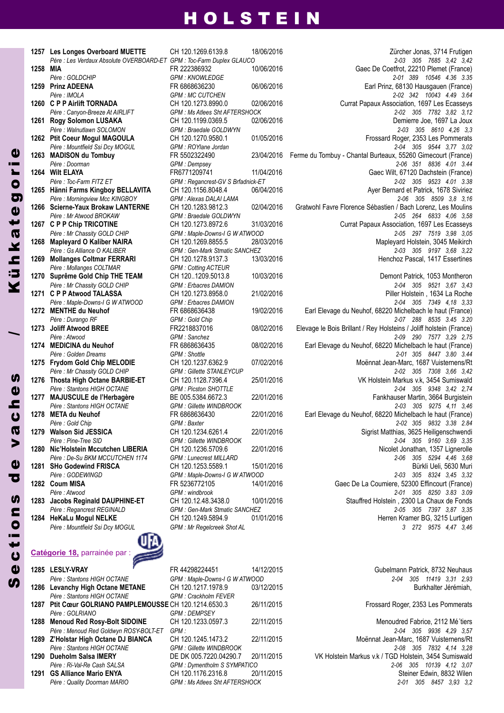| 1257 | Les Longes Overboard MUETTE<br>Père : Les Verdaux Absolute OVERBO                               |
|------|-------------------------------------------------------------------------------------------------|
| 1258 | MIA                                                                                             |
| 1259 | Père : GOLDCHIP<br><b>Prinz ADEENA</b>                                                          |
| 1260 | Père : IMOLA<br><b>C P P Airlift TORNADA</b>                                                    |
| 1261 | Père : Canyon-Breeze At AIRLIFT<br>Rogy Solomon LUSAKA                                          |
| 1262 | Père : Walnutlawn SOLOMON<br><b>Ptit Coeur Mogul MAGOULA</b>                                    |
| 1263 | Père : Mountfield Ssi Dcy MOGUL<br><b>MADISON du Tombuy</b>                                     |
| 1264 | Père : Doorman<br><b>Wilt ELAYA</b>                                                             |
| 1265 | Père : Toc-Farm FITZ ET<br>Hänni Farms Kingboy BELLAVIT                                         |
| 1266 | Père : Morningview Mcc KINGBOY<br><b>Scierne-Yaux Brokaw LANTERN</b><br>Père : Mr Atwood BROKAW |
| 1267 | <b>C P P Chip TRICOTINE</b><br>Père : Mr Chassity GOLD CHIP                                     |
| 1268 | Mapleyard O Kaliber NAIRA<br>Père : Gs Alliance O KALIBER                                       |
| 1269 | <b>Mollanges Coltmar FERRARI</b><br>Père : Mollanges COLTMAR                                    |
| 1270 | Suprême Gold Chip THE TEAM<br>Père : Mr Chassity GOLD CHIP                                      |
| 1271 | <b>C P P Atwood TALASSA</b><br>Père : Maple-Downs-I G W ATWOOD                                  |
| 1272 | <b>MENTHE du Neuhof</b><br>Père : Durango RF                                                    |
| 1273 | <b>Joliff Atwood BREE</b><br>Père : Atwood                                                      |
| 1274 | <b>MEDICINA du Neuhof</b><br>Père : Golden Dreams                                               |
| 1275 | <b>Frydom Gold Chip MELODIE</b><br>Père : Mr Chassity GOLD CHIP                                 |
| 1276 | <b>Thosta High Octane BARBIE-ET</b><br>Père : Stantons HIGH OCTANE                              |
| 1277 | MAJUSCULE de l'Herbagère<br>Père : Stantons HIGH OCTANE                                         |
| 1278 | <b>META du Neuhof</b><br>Père : Gold Chip                                                       |
| 1279 | <b>Walson Sid JESSICA</b><br>Père : Pine-Tree SID                                               |
| 1280 | Nic'Holstein Mccutchen LIBERIA<br>Père : De-Su BKM MCCUTCHEN 1174                               |
| 1281 | <b>SHo Godewind FRISCA</b><br>Père : GODEWINGD                                                  |
| 1282 | <b>Coum MISA</b><br>Père : Atwood                                                               |
| 1283 | <b>Jacobs Reginald DAUPHINE-ET</b><br>Père : Regancrest REGINALD                                |
| 1284 | <b>HeKaLu Mogul NELKE</b><br>Père : Mountfield Ssi Dcy MOGUL                                    |
|      |                                                                                                 |
|      | Catégorie 18, parrainée par :                                                                   |
|      | 1285 LESLY-VRAY<br>Père : Stantons HIGH OCTANE                                                  |

**1286 Levanchy High Octane METAnE** CH 120.1217.1978.9 03/12/2015 Burkhalter Jérémiah, *Père : Stantons HIGH OCTANE GPM : Crackholm FEVER* **1287 Ptit Cœur GOLRIAnO PAMPLEMOUSSE** CH 120.1214.6530.3 26/11/2015 Frossard Roger, 2353 Les Pommerats *Père : GOLRIANO GPM : DEMPSEY* **1288 Menoud Red Rosy-Bolt SIDOInE** CH 120.1233.0597.3 22/11/2015 Menoudred Fabrice, 2112 Mé´tiers **1291 GS Alliance Mario ENYA** CH 120.1176.2316.8 20/11/2015

**S**  $\overline{a}$  $\boldsymbol{\mathsf{U}}$ 

t i o n<br>o

**SP** 

dd)

v $\overline{\mathbf{v}}$  $\overline{c}$ h $\mathbf 0$ **un** 

/

Kühk $\boldsymbol{\mathsf{a}}$ tØ g o

r i e

**120.1269.6139.8 18/06/2016** 2ürcher Jonas, 3714 Frutigen<br>
GPM: Toc-Farm Duplex GLAUCO 2016 *Père : Les Verdaux Absolute OVERBOARD-ET GPM : Toc-Farm Duplex GLAUCO 2-03 305 7685 3,42 3,42 Père : Toc-Farm FITZ ET GPM : Regancrest-GV S Brfadnick-ET 2-02 305 9523 4.01 3.38*  $GPM$  *: Cotting ACTEUR* 

*Père : Stantons HIGH OCTANE GPM : Maple-Downs-I G W ATWOOD 2-04 305 11419 3,31 2,93*

**1258 MIA** FR 222386932 10/06/2016 Gaec De Coetfrot, 22210 Plemet (France) *Père : GOLDCHIP GPM : KNOWLEDGE 2-01 389 10546 4.36 3.35* **1259 Prinz ADEEnA** FR 6868636230 06/06/2016 Earl Prinz, 68130 Hausgauen (France) *Père : IMOLA GPM : MC CUTCHEN 2-02 342 10043 4.49 3.64* **1260 C P P Airlift TORnADA** CH 120.1273.8990.0 02/06/2016 Currat Papaux Association, 1697 Les Ecasseys *Père : Canyon-Breeze At AIRLIFT GPM : Ms Atlees Sht AFTERSHOCK 2-02 305 7782 3,82 3,12* **1261 Rogy Solomon LUSAKA** CH 120.1199.0369.5 02/06/2016 Demierre Joe, 1697 La Joux *Père : Walnutlawn SOLOMON GPM : Braedale GOLDWYN 2-03 305 8610 4,26 3,3* **1262 Ptit Coeur Mogul MAGOULA** CH 120.1270.9580.1 01/05/2016 Frossard Roger, 2353 Les Pommerats *Père : Mountfield Ssi Dcy MOGUL GPM : ROYlane Jordan 2-04 305 9544 3,77 3,02* **1263 MADISOn du Tombuy** FR 5502322490 23/04/2016 Ferme du Tombuy - Chantal Burteaux, 55260 Gimecourt (France) *Père : Doorman GPM : Dempsey 2-06 351 8836 4.01 3.44* **1264 Wilt ELAyA** FR6771209741 11/04/2016 Gaec Wilt, 67120 Dachstein (France) **1265 Hänni Farms Kingboy BELLAVITA** CH 120.1156.8048.4 06/04/2016 Ayer Bernard et Patrick, 1678 Siviriez *Père : Morningview Mcc KINGBOY GPM : Alexas DALAI LAMA 2-06 305 8509 3,8 3,16* **Gratwohl Favre Florence Sébastien / Bach Lorenz, Les Moulins** *Père : Mr Atwood BROKAW GPM : Braedale GOLDWYN 2-05 264 6833 4,06 3,58* **1267 C P P Chip TRICOTInE** CH 120.1273.8972.6 31/03/2016 Currat Papaux Association, 1697 Les Ecasseys *Père : Mr Chassity GOLD CHIP GPM : Maple-Downs-I G W ATWOOD 2-05 297 7519 3,98 3,05* **1268 Mapleyard O Kaliber nAIRA** CH 120.1269.8855.5 28/03/2016 Mapleyard Holstein, 3045 Meikirch *Père : Gs Alliance O KALIBER GPM : Gen-Mark Stmatic SANCHEZ 2-03 305 9197 3,68 3,22* **1269 Mollanges Coltmar FERRARI** CH 120.1278.9137.3 13/03/2016 Henchoz Pascal, 1417 Essertines **1270 Suprême Gold Chip THE TEAM** CH 120..1209.5013.8 10/03/2016 Demont Patrick, 1053 Montheron *Père : Mr Chassity GOLD CHIP GPM : Erbacres DAMION 2-04 305 9521 3,67 3,43* **1271 C P P Atwood TALASSA** CH 120.1273.8958.0 21/02/2016 Piller Holstein , 1634 La Roche *Père : Maple-Downs-I G W ATWOOD GPM : Erbacres DAMION 2-04 305 7349 4,18 3,33* **1272 MEnTHE du neuhof** FR 6868636438 19/02/2016 Earl Elevage du Neuhof, 68220 Michelbach le haut (France) *Père : Durango RF GPM : Gold Chip 2-07 288 8535 3.45 3.20* **1273 Joliff Atwood BREE** FR2218837016 08/02/2016 Elevage le Bois Brillant / Rey Holsteins / Joliff holstein (France) *Père : Atwood GPM : Sanchez 2-09 290 7577 3,29 2,75* **1274 MEDICInA du neuhof** FR 6868636435 08/02/2016 Earl Elevage du Neuhof, 68220 Michelbach le haut (France) *Père : Golden Dreams GPM : Shottle 2-01 305 8447 3.80 3.44* **1275 Frydom Gold Chip MELODIE** CH 120.1237.6362.9 07/02/2016 Moënnat Jean-Marc, 1687 Vuisternens/Rt *Père : Mr Chassity GOLD CHIP GPM : Gillette STANLEYCUP 2-02 305 7308 3,66 3,42* **1276 Thosta High Octane BARBIE-ET** CH 120.1128.7396.4 25/01/2016 VK Holstein Markus v.k, 3454 Sumiswald *Père : Stantons HIGH OCTANE GPM : Picston SHOTTLE 2-04 305 9348 3,42 2,74* **1277 MAJUSCULE de l'Herbagère** BE 005.5384.6672.3 22/01/2016 Fankhauser Martin, 3664 Burgistein *Père : Stantons HIGH OCTANE GPM : Gillette WINDBROOK 2-03 305 9275 4,11 3,46* **1278 META du neuhof** FR 6868636430 22/01/2016 Earl Elevage du Neuhof, 68220 Michelbach le haut (France) *Père : Gold Chip GPM : Baxter 2-02 305 9832 3.38 2.84* **1279 Walson Sid JESSICA** CH 120.1234.6261.4 22/01/2016 Sigrist Matthias, 3625 Heiligenschwendi *Père : Pine-Tree SID GPM : Gillette WINDBROOK 2-04 305 9160 3,69 3,35* **1280 120.1236.5709.6** 22/01/2016 22/01 22/01 Nicolet Jonathan, 1357 Lignerolle *Père : De-Su BKM MCCUTCHEN 1174 GPM : Lunecrest MILLARD 2-06 305 5294 4,46 3,68* **1281 SHo Godewind FRISCA** CH 120.1253.5589.1 15/01/2016 Bürkli Ueli, 5630 Muri *Père : GODEWINGD GPM : Maple-Downs-I G W ATWOOD 2-03 305 8324 3,45 3,32* **1282 Coum MISA** FR 5236772105 14/01/2016 Gaec De La Coumiere, 52300 Effincourt (France) *Père : Atwood GPM : windbrook 2-01 305 8250 3.83 3.09* **1283 Jacobs Reginald DAUPHInE-ET** CH 120.12.48.3438.0 10/01/2016 Stauffred Holstein , 2300 La Chaux de Fonds *Père : Regancrest REGINALD GPM : Gen-Mark Stmatic SANCHEZ 2-05 305 7397 3,87 3,35* **12841 120.1249.5894.9 01/01/2016 120.1249.5894.9 01/01/2016 120.1249.5894.9 01/01/2016** *Père : Mountfield Ssi Dcy MOGUL GPM : Mr Regelcreek Shot AL 3 272 9575 4,47 3,46*

**1285 LESLy-VRAy** FR 44298224451 14/12/2015 Gubelmann Patrick, 8732 Neuhaus

*Père : Menoud Red Goldwyn ROSY-BOLT-ET GPM : 2-04 305 9936 4,29 3,57* **1289 z'Holstar High Octane DJ BIAnCA** CH 120.1245.1473.2 22/11/2015 Moënnat Jean-Marc, 1687 Vuisternens/Rt *Père : Stantons HIGH OCTANE GPM : Gillette WINDBROOK 2-08 305 7832 4,14 3,28* **1290 Dueholm Salsa IMERy** DE DK 005.7220.04290.7 20/11/2015 VK Holstein Markus v.k / TGD Holstein, 3454 Sumiswald *Père : Ri-Val-Re Cash SALSA GPM : Dymentholm S SYMPATICO 2-06 305 10139 4,12 3,07 Père : Quality Doorman MARIO GPM : Ms Atlees Sht AFTERSHOCK 2-01 305 8457 3,93 3,2*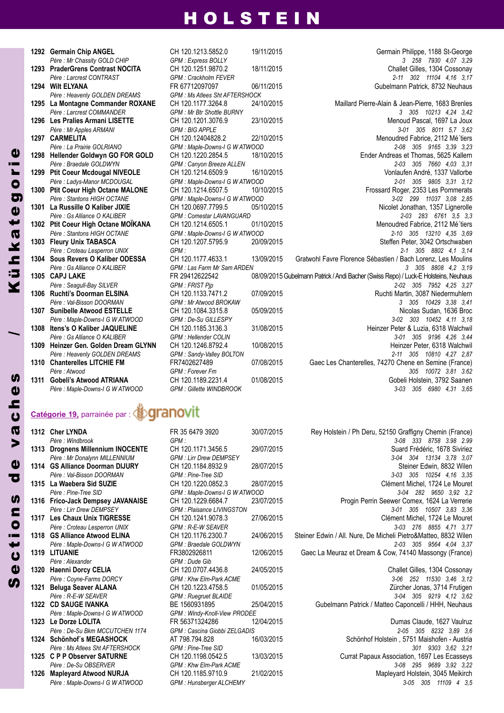|      | 1292 Germain Chip ANGEL              |
|------|--------------------------------------|
|      | Père : Mr Chassity GOLD CHIP         |
| 1293 | <b>PraderGrens Contrast NOCITA</b>   |
|      | Père : Larcrest CONTRAST             |
| 1294 | <b>Wilt ELYANA</b>                   |
|      | Père : Heavenly GOLDEN DREAMS        |
| 1295 | La Montagne Commander ROXAN          |
|      | Père : Larcrest COMMANDER            |
| 1296 | <b>Les Pralies Armani LISETTE</b>    |
|      | Père : Mr Apples ARMANI              |
| 1297 | <b>CARMELITA</b>                     |
|      | Père : La Prairie GOLRIANO           |
| 1298 | Hellender Goldwyn GO FOR GOLI        |
|      | Père : Braedale GOLDWYN              |
| 1299 | <b>Ptit Coeur Mcdougal NIVEOLE</b>   |
|      | Père : Ladys-Manor MCDOUGAL          |
| 1300 | <b>Ptit Coeur High Octane MALONE</b> |
|      | Père: Stantons HIGH OCTANE           |
| 1301 | La Russille O Kaliber JIXIE          |
|      | Père : Gs Alliance O KALIBER         |
| 1302 | Ptit Coeur High Octane MOÏKANA       |
|      | Père: Stantons HIGH OCTANE           |
| 1303 | <b>Fleury Unix TABASCA</b>           |
|      | Père : Croteau Lesperron UNIX        |
| 1304 | <b>Sous Revers O Kaliber ODESSA</b>  |
|      |                                      |
|      | Père : Gs Alliance O KALIBER         |
| 1305 | <b>CAPJ LAKE</b>                     |
|      | Père : Seagull-Bay SILVER            |
| 1306 | <b>Ruchti's Doorman ELSINA</b>       |
|      | Père Val-Bisson DOORMAN              |
| 1307 | <b>Sunibelle Atwood ESTELLE</b>      |
|      | Père : Maple-Downs-I G W ATWOOD      |
| 1308 | Itens's O Kaliber JAQUELINE          |
|      | Père : Gs Alliance O KALIBER         |
| 1309 | Heinzer Gen. Golden Dream GLYN       |
|      | Père : Heavenly GOLDEN DREAMS        |
| 1310 | <b>Chanterelles LITCHIE FM</b>       |
|      | Père : Atwood                        |
| 1311 | <b>Gobeli's Atwood ATRIANA</b>       |

*Père : Maple-Downs-I G W ATWOOD GPM : Gillette WINDBROOK 3-03 305 6980 4,31 3,65*

# **1292 Germain Chip AnGEL** CH 120.1213.5852.0 19/11/2015 Germain Philippe, 1188 St-George  $GPM$  *: Ms Atlees Sht AFTERSHOCK*

*Père : Mr Chassity GOLD CHIP GPM : Express BOLLY 3 258 7930 4,07 3,29* **1293 PraderGrens Contrast nOCITA** CH 120.1251.9870.2 18/11/2015 Challet Gilles, 1304 Cossonay *Père : Larcrest CONTRAST GPM : Crackholm FEVER 2-11 302 11104 4,16 3,17* **1294 Wilt ELyAnA** FR 67712097097 06/11/2015 Gubelmann Patrick, 8732 Neuhaus **NE** CH 120.1177.3264.8 24/10/2015 Maillard Pierre-Alain & Jean-Pierre, 1683 Brenles *Père : Larcrest COMMANDER GPM : Mr Btr Shottle BURNY 3 305 10213 4,24 3,42* **1296 Les Pralies Armani LISETTE** CH 120.1201.3076.9 23/10/2015 Menoud Pascal, 1697 La Joux *Père : Mr Apples ARMANI GPM : BIG APPLE 3-01 305 8011 5,7 3,62* **1297 CARMELITA** CH 120.12404828.2 22/10/2015 Menoudred Fabrice, 2112 Mé´tiers *Père : La Prairie GOLRIANO GPM : Maple-Downs-I G W ATWOOD 2-08 305 9165 3,39 3,23* **1298 Hellender Goldwyn GO FOR GOLD** CH 120.1220.2854.5 18/10/2015 Ender Andreas et Thomas, 5625 Kallern *Père : Braedale GOLDWYN GPM : Canyon Breeze ALLEN 2-03 305 7660 4,03 3,31* **1299 Ptit Coeur Mcdougal nIVEOLE** CH 120.1214.6509.9 16/10/2015 Vonlaufen André, 1337 Vallorbe *Père : Ladys-Manor MCDOUGAL GPM : Maple-Downs-I G W ATWOOD 2-01 305 9805 3,31 3,12* **1300 Ptit Coeur High Octane MALOnE** CH 120.1214.6507.5 10/10/2015 Frossard Roger, 2353 Les Pommerats *Père : Stantons HIGH OCTANE GPM : Maple-Downs-I G W ATWOOD 3-02 299 11037 3,08 2,85* **Nicolet Jonathan, 1357 Lignerolle** *Père : Gs Alliance O KALIBER GPM : Comestar LAVANGUARD 2-03 283 6761 3,5 3,3* **1302 Ptit Coeur High Octane MOÏKAnA** CH 120.1214.6505.1 01/10/2015 Menoudred Fabrice, 2112 Mé´tiers *Père : Stantons HIGH OCTANE GPM : Maple-Downs-I G W ATWOOD 2-10 305 13210 4,35 3,69* **1303 Fleury Unix TABASCA** CH 120.1207.5795.9 20/09/2015 Steffen Peter, 3042 Ortschwaben *Père : Croteau Lesperron UNIX GPM : 2-1 305 8802 4,1 3,14* **1304 Sous Revers O Kaliber ODESSA** CH 120.1177.4633.1 13/09/2015 Gratwohl Favre Florence Sébastien / Bach Lorenz, Les Moulins *Père : Gs Alliance O KALIBER GPM : Las Farm Mr Sam ARDEN 3 305 8808 4,2 3,19* **1305 CAPJ LAKE** FR 29412622542 08/09/2015Gubelmann Patrick /Andi Bacher (Swiss Repo) / Luck-E Holsteins, Neuhaus *Père : Seagull-Bay SILVER GPM : FRIST Pjp 2-02 305 7952 4,25 3,27* **1306 Ruchti's Doorman ELSInA** CH 120.1133.7471.2 07/09/2015 Ruchti Martin, 3087 Niedermuhlern *Père : Val-Bisson DOORMAN GPM : Mr Atwood BROKAW 3 305 10429 3,38 3,41* **120.1084.3315.8** 05/09/2015 **Sunibelle At a Sunite CH 120.1084.3315.8** 05/09/2015 Nicolas Sudan, 1636 Broc<br>
GPM: De-Su GILLESPY *Père : Maple-Downs-I G W ATWOOD GPM : De-Su GILLESPY 3-02 303 10452 4,11 3,18* **1308 Itens's O Kaliber JAQUELInE** CH 120.1185.3136.3 31/08/2015 Heinzer Peter & Luzia, 6318 Walchwil *Père : Gs Alliance O KALIBER GPM : Hellender COLIN 3-01 305 9196 4,26 3,44* **1309 Heinzer Gen. Golden Dream GLynn** CH 120.1246.8792.4 10/08/2015 Heinzer Peter, 6318 Walchwil *Père : Heavenly GOLDEN DREAMS GPM : Sandy-Valley BOLTON 2-11 305 10810 4,27 2,87* **1310 Chanterelles LITCHIE FM** FR7402627489 07/08/2015 Gaec Les Chanterelles, 74270 Chene en Semine (France) *Père : Atwood GPM : Forever Fm 305 10072 3.81 3.62* **1311 Gobeli's Atwood ATRIAnA** CH 120.1189.2231.4 01/08/2015 Gobeli Holstein, 3792 Saanen

# **Catégorie 19,** parrainée par :

| 1312 | <b>Cher LYNDA</b>                   |
|------|-------------------------------------|
|      | Père : Windbrook                    |
| 1313 | <b>Drognens Millennium INOCENTE</b> |
|      | Père : Mr Donalynn MILLENNIUM       |
| 1314 | <b>GS Alliance Doorman DIJURY</b>   |
|      | Père · Val-Bisson DOORMAN           |
| 1315 | La Waebera Sid SUZIE                |
|      | Père : Pine-Tree SID                |
| 1316 | <b>Frico-Jack Dempsey JAVANAISE</b> |
|      | Père · I irr Drew DFMPSFY           |
| 1317 | <b>Les Chaux Unix TIGRESSE</b>      |
|      | Père : Croteau Lesperron UNIX       |
| 1318 | <b>GS Alliance Atwood ELINA</b>     |
|      | Père : Maple-Downs-I G W ATWOOD     |
| 1319 | <b>LITUANIE</b>                     |
|      | Père Alexander                      |
| 1320 | Haenni Dorcy CELIA                  |
|      | Père : Coyne-Farms DORCY            |
| 1321 | <b>Beluga Seaver ALANA</b>          |
|      | Père: R-E-W SEAVER                  |
| 1322 | <b>CD SAUGE IVANKA</b>              |
|      | Père : Maple-Downs-I G W ATWOOD     |
| 1323 | Le Dorze LOLITA                     |
|      | Père : De-Su Bkm MCCUTCHEN 1174     |
| 1324 | Schönhof's MEGASHOCK                |
|      | Père Ms Atlees Sht AFTFRSHOCK       |
| 1325 | <b>C P P Observer SATURNE</b>       |
|      | Père : De-Su OBSERVER               |
| 1326 | <b>Mapleyard Atwood NURJA</b>       |

*Père : Alexander GPM : Dude Gib*  $GPM$  *: Windy-Knoll-View PRODEE Père : De-Su OBSERVER GPM : Khw Elm-Park ACME 3-08 295 9689 3,92 3,22* **1326 Mapleyard Atwood nURJA** CH 120.1185.9710.9 21/02/2015 Mapleyard Holstein, 3045 Meikirch *Père : Maple-Downs-I G W ATWOOD GPM : Hunsberger ALCHEMY 3-05 305 11109 4 3,5*

**1312 Cher LynDA** FR 35 6479 3920 30/07/2015 Rey Holstein / Ph Deru, 52150 Graffigny Chemin (France) *Père : Windbrook GPM : 3-08 333 8758 3.98 2.99* **1313 Drognens Millennium InOCEnTE** CH 120.1171.3456.5 29/07/2015 Suard Frédéric, 1678 Siviriez *Père : Mr Donalynn MILLENNIUM GPM : Lirr Drew DEMPSEY 3-04 304 13134 3,78 3,07* **1314 GS Alliance Doorman DIJURy** CH 120.1184.8932.9 28/07/2015 Steiner Edwin, 8832 Wilen *Père : Val-Bisson DOORMAN GPM : Pine-Tree SID 3-03 305 10254 4,16 3,35* **1315 La Waebera Sid SUzIE** CH 120.1220.0852.3 28/07/2015 Clément Michel, 1724 Le Mouret *Père : Pine-Tree SID GPM : Maple-Downs-I G W ATWOOD 3-04 282 9650 3,92 3,2* **1316 Frico-Jack Dempsey JAVAnAISE** CH 120.1229.6684.7 23/07/2015 Progin Perrin Seewer Comex, 1624 La Verrerie *Père : Lirr Drew DEMPSEY GPM : Plaisance LIVINGSTON 3-01 305 10507 3,83 3,36* **1317 Les Chaux Unix TIGRESSE** CH 120.1241.9078.3 27/06/2015 Clément Michel, 1724 Le Mouret *Père : Croteau Lesperron UNIX GPM : R-E-W SEAVER 3-03 276 8855 4,71 3,77* **1318 GS Alliance Atwood ELInA** CH 120.1176.2300.7 24/06/2015 Steiner Edwin / All. Nure, De Micheli Pietro&Matteo, 8832 Wilen *Père : Maple-Downs-I G W ATWOOD GPM : Braedale GOLDWYN 2-03 305 9564 4,04 3,37* 12/06/2015 Gaec La Meuraz et Dream & Cow, 74140 Massongy (France) **1320 Haenni Dorcy CELIA** CH 120.0707.4436.8 24/05/2015 Challet Gilles, 1304 Cossonay *Père : Coyne-Farms DORCY GPM : Khw Elm-Park ACME 3-06 252 11530 3,46 3,12* **1321 Beluga Seaver ALAnA** CH 120.1223.4758.5 01/05/2015 Zürcher Jonas, 3714 Frutigen *Père : R-E-W SEAVER GPM : Ruegruet BLAIDE 3-04 305 9219 4,12 3,62* **1322 CD SAUGE IVAnKA** BE 1560931895 25/04/2015 Gubelmann Patrick / Matteo Caponcelli / HHH, Neuhaus **1323 Le Dorze LOLITA** FR 56371324286 12/04/2015 Dumas Claude, 1627 Vaulruz *Père : De-Su Bkm MCCUTCHEN 1174 GPM : Cascina Giobbi ZELGADIS 2-05 305 8232 3,89 3,6* **1324 Schönhof´s MEGASHOCK** AT 798.794.828 16/03/2015 Schönhof Holstein , 5751 Maishofen - Austria *Père : Ms Atlees Sht AFTERSHOCK GPM : Pine-Tree SID 301 9303 3,62 3,21* **1325 C P P Observer SATURnE** CH 120.1198.0542.5 13/03/2015 Currat Papaux Association, 1697 Les Ecasseys

## **S**  $\mathbf{d}$  $\boldsymbol{\mathsf{U}}$ t i o n<br>o **SP** dev $\overline{\mathbf{Q}}$  $\overline{c}$ h $\boldsymbol{0}$ **u**

/

Kühk $\boldsymbol{\mathsf{a}}$ tØ g o

r i e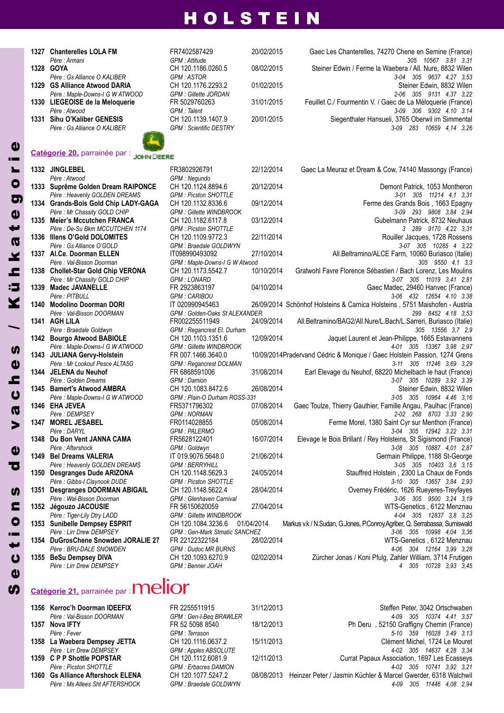| 1327 Chanterelles LOLA FM       | FR7402587429                  | 20/02/2015 | Gaec Les Chanterelles, 74270 Chene en Semine (France)       |
|---------------------------------|-------------------------------|------------|-------------------------------------------------------------|
| Père : Armani                   | GPM : Attitude                |            | 305 10567 3.81 3.31                                         |
| 1328 GOYA                       | CH 120.1186.0260.5            | 08/02/2015 | Steiner Edwin / Ferme la Waebera / All. Nure, 8832 Wilen    |
| Père : Gs Alliance O KALIBER    | GPM: ASTOR                    |            | 3-04 305 9637 4.27 3.53                                     |
| 1329 GS Alliance Atwood DARIA   | CH 120.1176.2293.2            | 01/02/2015 | Steiner Edwin, 8832 Wilen                                   |
| Père : Maple-Downs-I G W ATWOOD | <b>GPM: Gillette JORDAN</b>   |            | 2-06 305 9131 4.37 3.22                                     |
| 1330 LIEGEOISE de la Meloquerie | FR 5029760263                 | 31/01/2015 | Feuillet C./ Fourmentin V. / Gaec de La Méloquerie (France) |
| Père : Atwood                   | GPM : Talent                  |            | 3-09 306 9302 4.10 3.14                                     |
| 1331 Sihu O'Kaliber GENESIS     | CH 120.1139.1407.9            | 20/01/2015 | Siegenthaler Hansueli, 3765 Oberwil im Simmental            |
| Père : Gs Alliance O KALIBER    | <b>GPM: Scientific DESTRY</b> |            | 3-09 283 10659 4.14 3.26                                    |
|                                 |                               |            |                                                             |

# **Catégorie 20,** parrainée par :

| $\boldsymbol{\omega}$    |      | Catégorie 20, parrainée par : JOHN DEERE                        |               |
|--------------------------|------|-----------------------------------------------------------------|---------------|
| Ē<br>$\blacksquare$      | 1332 | <b>JINGLEBEL</b>                                                | FR380         |
|                          |      | Père : Atwood                                                   | GPM:          |
| $\bullet$                | 1333 | Suprême Golden Dream RAIPONCE                                   | CH 12         |
|                          |      | Père : Heavenly GOLDEN DREAMS                                   | GPM:          |
| ත                        | 1334 | <b>Grands-Bois Gold Chip LADY-GAGA</b>                          | <b>CH 12</b>  |
| $\ddot{\mathbf{0}}$      |      | Père : Mr Chassity GOLD CHIP                                    | GPM:          |
|                          | 1335 | <b>Meier's Mccutchen FRANCA</b>                                 | CH 12         |
| P                        |      | Père : De-Su Bkm MCCUTCHEN 1174                                 | GPM:          |
|                          | 1336 | Illens O'Gold DOLOMITES                                         | CH 12         |
| $\boldsymbol{\varpi}$    |      | Père : Gs Alliance O'GOLD                                       | GPM:          |
| ¥                        | 1337 | AI.Ce. Doorman ELLEN                                            | IT098         |
|                          |      | Père : Val-Bisson Doorman                                       | GPM:          |
| 으                        | 1338 | <b>Chollet-Star Gold Chip VERONA</b>                            | CH 12         |
|                          |      | Père : Mr Chassity GOLD CHIP                                    | GPM:          |
| :5                       | 1339 | <b>Madec JAVANELLE</b>                                          | FR 29         |
|                          |      | Père : PITBULL                                                  | GPM:          |
| Y                        | 1340 | <b>Modolino Doorman DORI</b>                                    | IT 020        |
|                          |      | Père: Val-Bisson DOORMAN                                        | GPM:          |
|                          | 1341 | <b>AGH LILA</b>                                                 | FR002         |
|                          |      | Père : Braedale Goldwyn                                         | GPM:          |
|                          | 1342 | <b>Bourgo Atwood BABIOLE</b>                                    | <b>CH 12</b>  |
| U)                       |      | Père : Maple-Downs-I G W ATWOOD                                 | GPM:          |
|                          | 1343 | <b>JULIANA Gervy-Holstein</b>                                   | FR 00         |
| $\boldsymbol{\omega}$    |      | Père : Mr Lookout Pesce ALTA5G                                  | GPM:          |
|                          | 1344 | <b>JELENA du Neuhof</b>                                         | FR 68         |
| C                        |      | Père : Golden Dreams                                            | GPM:          |
| $\boldsymbol{\omega}$    | 1345 | <b>Bamert's Atwood AMBRA</b>                                    | <b>CH 12</b>  |
|                          |      | Père : Maple-Downs-I G W ATWOOD                                 | GPM:          |
| 0                        | 1346 | <b>EHA JEVEA</b>                                                | FR537         |
|                          |      | Père : DEMPSEY                                                  | GPM:          |
| $\blacktriangleright$    | 1347 | <b>MOREL JESABEL</b>                                            | FR011         |
|                          |      | Père : DARYL                                                    | GPM:          |
|                          | 1348 | Du Bon Vent JANNA CAMA                                          | FR562         |
| $\boldsymbol{\omega}$    |      | Père : Aftershock                                               | GPM :         |
|                          | 1349 | <b>Bel Dreams VALERIA</b>                                       | IT 019        |
| Ъ                        | 1350 | Père : Heavenly GOLDEN DREAMS<br><b>Desgranges Dude ARIZONA</b> | GPM:<br>CH 12 |
|                          |      | Père : Gibbs-I Claynook DUDE                                    | GPM :         |
|                          | 1351 | Desgranges DOORMAN ABIGAIL                                      | CH 12         |
| U)                       |      | Père : Wal-Bisson Doorman                                       | GPM:          |
| E                        | 1352 | Jégouzo JACOUSIE                                                | FR 56         |
|                          |      | Père: Tiger-Lily Dtry LADD                                      | GPM:          |
| $\bullet$                | 1353 | <b>Sunibelle Dempsey ESPRIT</b>                                 | CH 12         |
|                          |      | Père : Lirr Drew DEMPSEY                                        | GPM:          |
| ÷                        | 1354 | DuGrosChene Snowden JORALIE 27                                  | FR 22         |
| $\overline{\phantom{0}}$ |      | Père : BRU-DALE SNOWDEN                                         | GPM:          |
| $\mathbf 0$              | 1355 | <b>BeSu Dempsey DIVA</b>                                        | CH 12         |
|                          |      | Père · I irr Drew DFMPSFY                                       | $GPM$ .       |

| 1332 JINGLEBEL                       | FR3802926791                         | 22/12/2014 | Gaec La Meuraz et Dream & Cow, 74140 Massongy (France)                      |
|--------------------------------------|--------------------------------------|------------|-----------------------------------------------------------------------------|
| Père : Atwood                        | GPM : Negundo                        |            |                                                                             |
| 1333 Suprême Golden Dream RAIPONCE   | CH 120.1124.8894.6                   | 20/12/2014 | Demont Patrick, 1053 Montheron                                              |
| Père : Heavenly GOLDEN DREAMS        | <b>GPM: Picston SHOTTLE</b>          |            | 3-01 305 11214 4.1 3.31                                                     |
| 1334 Grands-Bois Gold Chip LADY-GAGA | CH 120.1132.8336.6                   | 09/12/2014 | Ferme des Grands Bois, 1663 Epagny                                          |
| Père : Mr Chassity GOLD CHIP         | <b>GPM: Gillette WINDBROOK</b>       |            | 3-09 293 9808 3,84 2,94                                                     |
| 1335 Meier's Mccutchen FRANCA        | CH 120.1182.6117.8                   | 03/12/2014 | Gubelmann Patrick, 8732 Neuhaus                                             |
| Père : De-Su Bkm MCCUTCHEN 1174      | <b>GPM: Picston SHOTTLE</b>          |            | 3 289 9170 4.22 3.31                                                        |
| 1336 Illens O'Gold DOLOMITES         | CH 120.1109.9772.3                   | 22/11/2014 | Rouiller Jacques, 1728 Rossens                                              |
| Père : Gs Alliance O'GOLD            | GPM : Braedale GOLDWYN               |            | 3-07 305 10285 4 3,22                                                       |
| 1337 Al.Ce. Doorman ELLEN            | IT098990493092                       | 27/10/2014 | All.Beltramino/ALCE Farm, 10060 Buriasco (Italie)                           |
| Père : Val-Bisson Doorman            | GPM : Maple-Downs-I G W Atwood       |            | 305 9550 4,1 3,3                                                            |
| 1338 Chollet-Star Gold Chip VERONA   | CH 120.1173.5542.7                   | 10/10/2014 | Gratwohl Favre Florence Sébastien / Bach Lorenz, Les Moulins                |
| Père : Mr Chassity GOLD CHIP         | <b>GPM: LONARD</b>                   |            | 3-07 305 11019 3.41 2.81                                                    |
| 1339 Madec JAVANELLE                 | FR 2923863197                        | 04/10/2014 | Gaec Madec, 29460 Hanvec (France)                                           |
| Père : PITBULL                       | <b>GPM: CARIBOU</b>                  |            | 3-06 432 12654 4.10 3.38                                                    |
| 1340 Modolino Doorman DORI           | IT 020990945463                      |            | 26/09/2014 Schönhof Holsteins & Carnica Holsteins, 5751 Maishofen - Austria |
| Père: Val-Bisson DOORMAN             | GPM: Golden-Oaks St ALEXANDER        |            | 299 8452 4,18 3,53                                                          |
| 1341 AGH LILA                        | FR002255511949                       | 24/09/2014 | All.Beltramino/BAG2/All.Nure/L.Bach/L.Sarreri, Buriasco (Italie)            |
| Père : Braedale Goldwyn              | GPM : Regancrest El. Durham          |            | 305 13556 3.7 2.9                                                           |
| 1342 Bourgo Atwood BABIOLE           | CH 120.1103.1351.6                   | 12/09/2014 | Jaquet Laurent et Jean-Philippe, 1665 Estavannens                           |
| Père : Maple-Downs-I G W ATWOOD      | <b>GPM: Gillette WINDBROOK</b>       |            | 4-01 305 13367 3.98 2.97                                                    |
| 1343 JULIANA Gervy-Holstein          | FR 007.1466.3640.0                   |            | 10/09/2014Pradervand Cédric & Monique / Gaec Holstein Passion, 1274 Grens   |
| Père : Mr Lookout Pesce ALTA5G       | <b>GPM: Regancrest DOLMAN</b>        |            | 3-11 305 11246 3,69 3,29                                                    |
| 1344 JELENA du Neuhof                | FR 6868591006                        | 31/08/2014 | Earl Elevage du Neuhof, 68220 Michelbach le haut (France)                   |
| Père : Golden Dreams                 | GPM : Damion                         |            | 3-07 305 10289 3.92 3.39                                                    |
| 1345 Bamert's Atwood AMBRA           | CH 120.1083.8472.6                   | 26/08/2014 | Steiner Edwin, 8832 Wilen                                                   |
| Père : Maple-Downs-I G W ATWOOD      | GPM: Plain-O Durham ROSS-331         |            | 3-05 305 10964 4,46 3,16                                                    |
| 1346 EHA JEVEA                       | FR5371796302                         | 07/08/2014 | Gaec Toulze, Thierry Gauthier, Famille Angau, Paulhac (France)              |
| Père : DEMPSEY                       | <b>GPM : NORMAN</b>                  |            | 2-02 268 8703 3.33 2.90                                                     |
| 1347 MOREL JESABEL                   | FR0114028855                         | 05/08/2014 | Ferme Morel, 1380 Saint Cyr sur Menthon (France)                            |
| Père : DARYL                         | <b>GPM: PALERMO</b>                  |            | 3-04 305 12942 3.22 3.31                                                    |
| 1348 Du Bon Vent JANNA CAMA          | FR5628122401                         | 16/07/2014 | Elevage le Bois Brillant / Rey Holsteins, St Sigismond (France)             |
| Père: Aftershock                     | GPM : Goldwyn                        |            | 3-08 305 10887 4,01 2,87                                                    |
| 1349 Bel Dreams VALERIA              | IT 019.9076.5648.0                   | 21/06/2014 | Germain Philippe, 1188 St-George                                            |
| Père : Heavenly GOLDEN DREAMS        | <b>GPM: BERRYHILL</b>                |            | 3-05 305 10403 3,6 3,15                                                     |
| 1350 Desgranges Dude ARIZONA         | CH 120.1148.5629.3                   | 24/05/2014 | Stauffred Holstein, 2300 La Chaux de Fonds                                  |
| Père : Gibbs-I Claynook DUDE         | <b>GPM: Picston SHOTTLE</b>          |            | 3-10 305 13657 3,84 2,93                                                    |
| 1351 Desgranges DOORMAN ABIGAIL      | CH 120.1148.5622.4                   | 28/04/2014 | Overney Frédéric, 1626 Rueyeres-Treyfayes                                   |
| Père : Wal-Bisson Doorman            | GPM : Glenhaven Carnival             |            | 3-06 305 9500 3,24 3,19                                                     |
| 1352 Jégouzo JACOUSIE                | FR 56150620059                       | 27/04/2014 | WTS-Genetics, 6122 Menznau                                                  |
| Père : Tiger-Lily Dtry LADD          | <b>GPM: Gillette WINDBROOK</b>       |            | 4-04 305 12837 3,8 3,25                                                     |
| 1353 Sunibelle Dempsey ESPRIT        | CH 120.1084.3236.6                   | 01/04/2014 | Markus v.k / N.Sudan, G.Jones, P.Conroy, Agriber, Q. Serrabassa, Sumiswald  |
| Père : Lirr Drew DEMPSEY             | <b>GPM: Gen-Mark Stmatic SANCHEZ</b> |            | 3-06 305 10998 4,04 3,36                                                    |
| 1354 DuGrosChene Snowden JORALIE 27  | FR 22122322184                       | 28/02/2014 | WTS-Genetics, 6122 Menznau                                                  |
| Père : BRU-DALE SNOWDEN              | <b>GPM: Dudoc MR BURNS</b>           |            | 4-06 304 12164 3,99 3,28                                                    |
| 1355 BeSu Dempsey DIVA               | CH 120.1093.6270.9                   | 02/02/2014 | Zürcher Jonas / Koni Pfulg, Zahler William, 3714 Frutigen                   |
| <i>Père : Lirr Drew DEMPSEY</i>      | GPM : Benner JOAH                    |            | 4 305 10728 3.93 3.45                                                       |

*Père : Lirr Drew DEMPSEY GPM : Benner JOAH 4 305 10728 3,93 3,45*

# Catégorie 21, parrainée par : **Melior**

 $\boldsymbol{\omega}$ e

|                                 | FR 2255511915                                                                                                                                       | 31/12/2013 | Steffen Peter, 3042 Ortschwaber                                           |
|---------------------------------|-----------------------------------------------------------------------------------------------------------------------------------------------------|------------|---------------------------------------------------------------------------|
| Père : Val-Bisson DOORMAN       | GPM: Gen-I-Beg BRAWLER                                                                                                                              |            | 4-09 305 10374 4.41 3.57                                                  |
|                                 | FR 52 5098 8540                                                                                                                                     | 18/12/2013 | Ph Deru, 52150 Graffigny Chemin (France)                                  |
| Père : Fever                    | GPM : Terrason                                                                                                                                      |            | 5-10 359 16028 3.49 3.13                                                  |
|                                 | CH 120.1116.0637.2                                                                                                                                  | 15/11/2013 | Clément Michel, 1724 Le Moure                                             |
| Père : Lirr Drew DEMPSEY        | GPM: Apples ABSOLUTE                                                                                                                                |            | 4-02 305 14637 4.28 3.34                                                  |
|                                 | CH 120.1112.6081.9                                                                                                                                  | 12/11/2013 | Currat Papaux Association, 1697 Les Ecasseys                              |
| Père : Picston SHOTTLE          | <b>GPM: Erbacres DAMION</b>                                                                                                                         |            | 4-02 305 10741 3.92 3.21                                                  |
|                                 | CH 120.1077.5247.2                                                                                                                                  |            | 08/08/2013 Heinzer Peter / Jasmin Küchler & Marcel Gwerder, 6318 Walchwil |
| Père : Ms Atlees Sht AFTERSHOCK | GPM : Braedale GOLDWYN                                                                                                                              |            | 4-09 305 11446 4.08 2.94                                                  |
|                                 | 1356 Kerroc'h Doorman IDEEFIX<br>1357 Nova IFTY<br>1358 La Waebera Dempsey JETTA<br>1359 C P P Shottle POPSTAR<br>1360 Gs Alliance Aftershock ELENA |            |                                                                           |